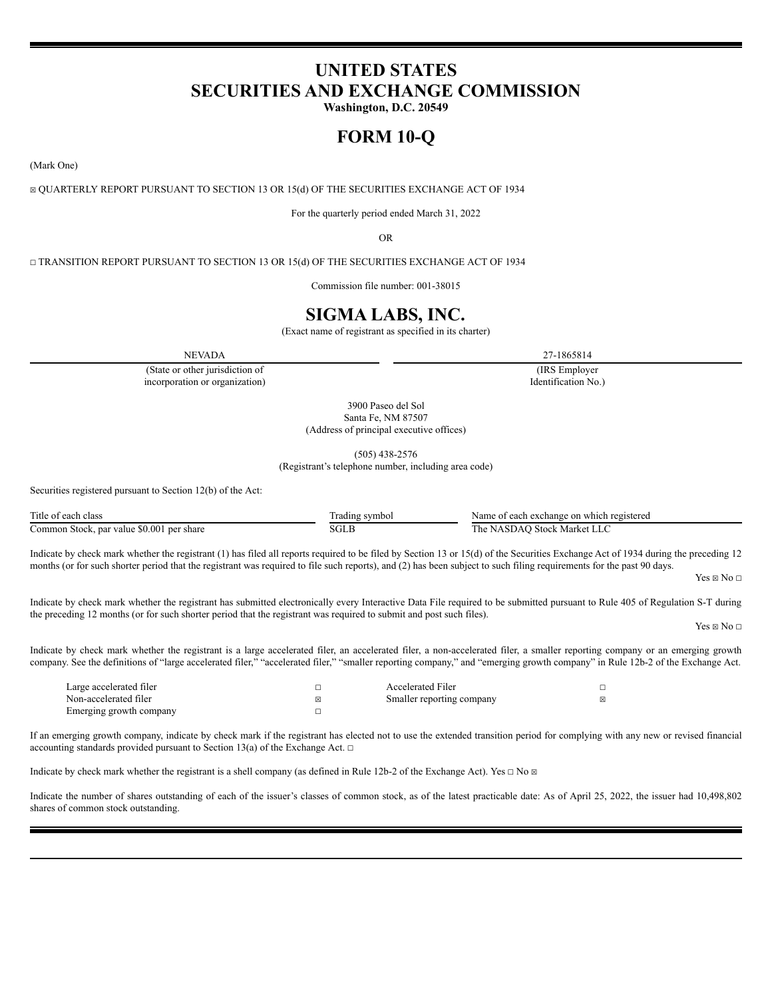# **UNITED STATES SECURITIES AND EXCHANGE COMMISSION**

**Washington, D.C. 20549**

# **FORM 10-Q**

(Mark One)

☒ QUARTERLY REPORT PURSUANT TO SECTION 13 OR 15(d) OF THE SECURITIES EXCHANGE ACT OF 1934

For the quarterly period ended March 31, 2022

OR

☐ TRANSITION REPORT PURSUANT TO SECTION 13 OR 15(d) OF THE SECURITIES EXCHANGE ACT OF 1934

Commission file number: 001-38015

# **SIGMA LABS, INC.**

(Exact name of registrant as specified in its charter)

NEVADA 27-1865814

(State or other jurisdiction of incorporation or organization) (IRS Employer

3900 Paseo del Sol Santa Fe, NM 87507

(Address of principal executive offices)

(505) 438-2576

(Registrant's telephone number, including area code)

Securities registered pursuant to Section 12(b) of the Act:

| Title of each class                       | rading symbol | Name of each exchange on which registered |
|-------------------------------------------|---------------|-------------------------------------------|
| Common Stock, par value \$0.001 per share | <b>NULL</b>   | NASDAO Stock Market L<br>. he             |

Indicate by check mark whether the registrant (1) has filed all reports required to be filed by Section 13 or 15(d) of the Securities Exchange Act of 1934 during the preceding 12 months (or for such shorter period that the registrant was required to file such reports), and (2) has been subject to such filing requirements for the past 90 days.

 $Yes \boxtimes No \Box$ 

Indicate by check mark whether the registrant has submitted electronically every Interactive Data File required to be submitted pursuant to Rule 405 of Regulation S-T during the preceding 12 months (or for such shorter period that the registrant was required to submit and post such files).

Yes  $\boxtimes$  No  $\Box$ 

Indicate by check mark whether the registrant is a large accelerated filer, an accelerated filer, a non-accelerated filer, a smaller reporting company or an emerging growth company. See the definitions of "large accelerated filer," "accelerated filer," "smaller reporting company," and "emerging growth company" in Rule 12b-2 of the Exchange Act.

| Large accelerated filer | Accelerated Filer         |   |
|-------------------------|---------------------------|---|
| Non-accelerated filer   | Smaller reporting company | 冈 |
| Emerging growth company |                           |   |

If an emerging growth company, indicate by check mark if the registrant has elected not to use the extended transition period for complying with any new or revised financial accounting standards provided pursuant to Section 13(a) of the Exchange Act.  $□$ 

Indicate by check mark whether the registrant is a shell company (as defined in Rule 12b-2 of the Exchange Act). Yes  $\Box$  No  $\Box$ 

Indicate the number of shares outstanding of each of the issuer's classes of common stock, as of the latest practicable date: As of April 25, 2022, the issuer had 10,498,802 shares of common stock outstanding.

Identification No.)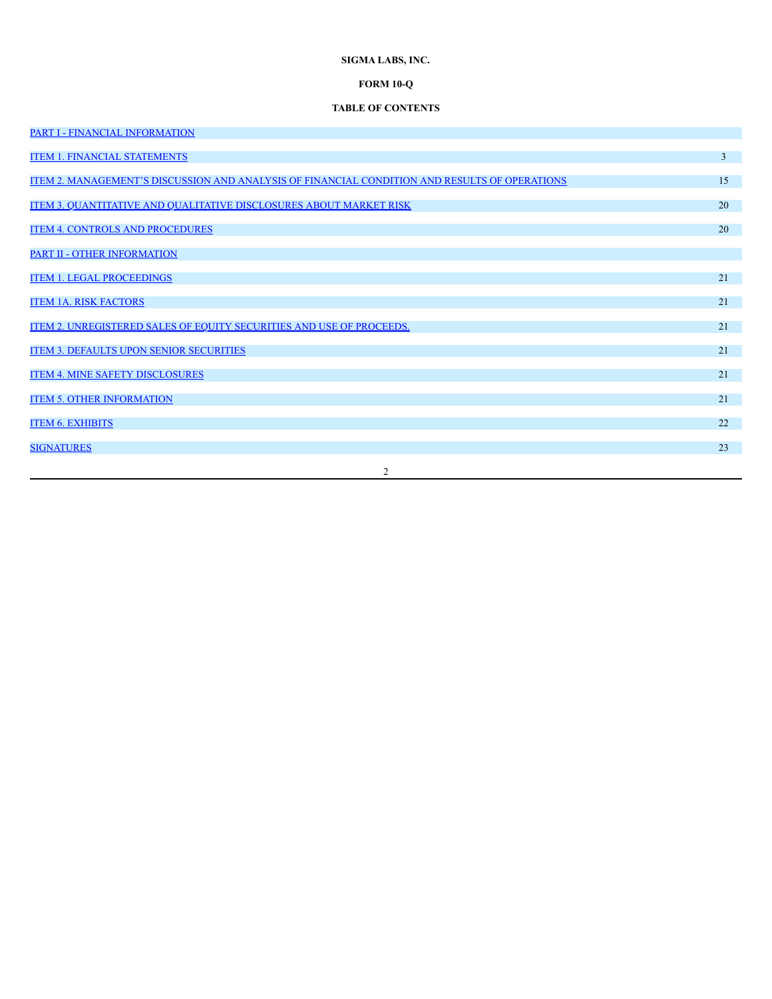# **SIGMA LABS, INC.**

# **FORM 10-Q**

# **TABLE OF CONTENTS**

| PART I - FINANCIAL INFORMATION                                                                |                |
|-----------------------------------------------------------------------------------------------|----------------|
| <b>ITEM 1. FINANCIAL STATEMENTS</b>                                                           | $\overline{3}$ |
| ITEM 2. MANAGEMENT'S DISCUSSION AND ANALYSIS OF FINANCIAL CONDITION AND RESULTS OF OPERATIONS | 15             |
| ITEM 3. QUANTITATIVE AND QUALITATIVE DISCLOSURES ABOUT MARKET RISK                            | 20             |
| <b>ITEM 4. CONTROLS AND PROCEDURES</b>                                                        | 20             |
| <b>PART II - OTHER INFORMATION</b>                                                            |                |
| <b>ITEM 1. LEGAL PROCEEDINGS</b>                                                              | 21             |
| <b>ITEM 1A. RISK FACTORS</b>                                                                  | 21             |
| ITEM 2. UNREGISTERED SALES OF EQUITY SECURITIES AND USE OF PROCEEDS.                          | 21             |
| <b>ITEM 3. DEFAULTS UPON SENIOR SECURITIES</b>                                                | 21             |
| <b>ITEM 4. MINE SAFETY DISCLOSURES</b>                                                        | 21             |
| <b>ITEM 5. OTHER INFORMATION</b>                                                              | 21             |
| <b>ITEM 6. EXHIBITS</b>                                                                       | 22             |
| <b>SIGNATURES</b>                                                                             | 23             |
| $\overline{2}$                                                                                |                |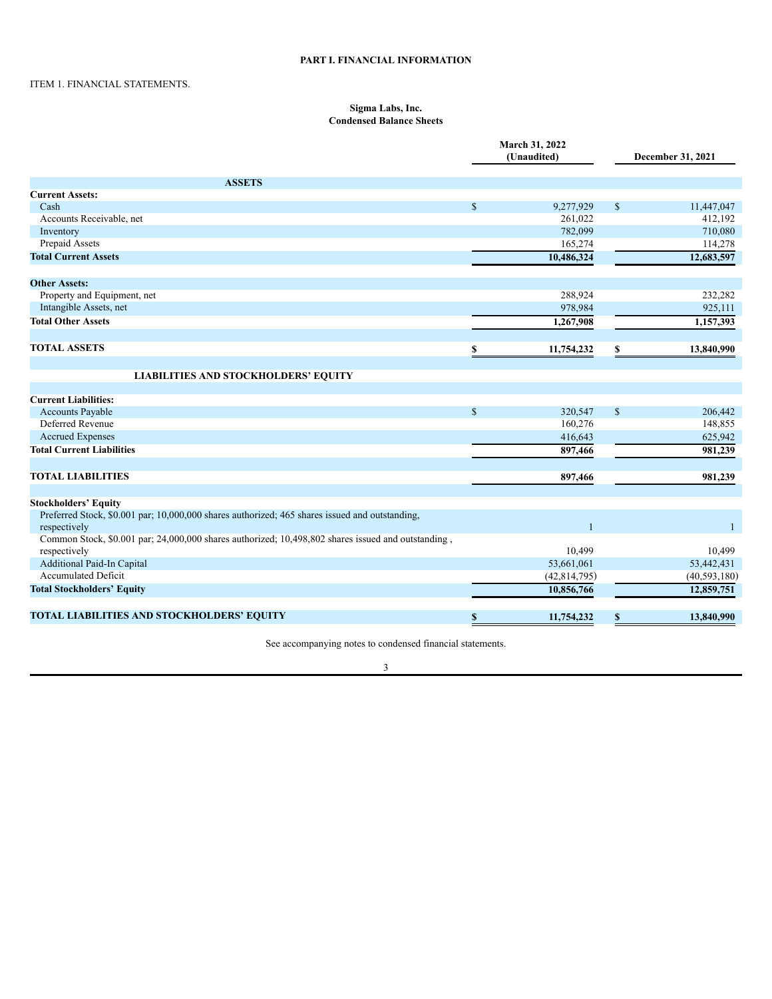## **PART I. FINANCIAL INFORMATION**

# <span id="page-2-1"></span><span id="page-2-0"></span>ITEM 1. FINANCIAL STATEMENTS.

## **Sigma Labs, Inc. Condensed Balance Sheets**

|                                                                                                                | March 31, 2022<br>(Unaudited) |                |              | December 31, 2021 |  |
|----------------------------------------------------------------------------------------------------------------|-------------------------------|----------------|--------------|-------------------|--|
| <b>ASSETS</b>                                                                                                  |                               |                |              |                   |  |
| <b>Current Assets:</b>                                                                                         |                               |                |              |                   |  |
| Cash                                                                                                           | $\mathbb{S}$                  | 9,277,929      | \$           | 11,447,047        |  |
| Accounts Receivable, net                                                                                       |                               | 261,022        |              | 412,192           |  |
| Inventory                                                                                                      |                               | 782,099        |              | 710,080           |  |
| Prepaid Assets                                                                                                 |                               | 165,274        |              | 114,278           |  |
| <b>Total Current Assets</b>                                                                                    |                               | 10.486.324     |              | 12,683,597        |  |
| <b>Other Assets:</b>                                                                                           |                               |                |              |                   |  |
| Property and Equipment, net                                                                                    |                               | 288,924        |              | 232,282           |  |
| Intangible Assets, net                                                                                         |                               | 978,984        |              | 925,111           |  |
| <b>Total Other Assets</b>                                                                                      |                               | 1,267,908      |              | 1,157,393         |  |
| <b>TOTAL ASSETS</b>                                                                                            | S                             | 11,754,232     | S            | 13,840,990        |  |
| <b>LIABILITIES AND STOCKHOLDERS' EQUITY</b>                                                                    |                               |                |              |                   |  |
| <b>Current Liabilities:</b>                                                                                    |                               |                |              |                   |  |
| <b>Accounts Payable</b>                                                                                        | \$                            | 320,547        | $\mathbb{S}$ | 206,442           |  |
| Deferred Revenue                                                                                               |                               | 160,276        |              | 148,855           |  |
| <b>Accrued Expenses</b>                                                                                        |                               | 416,643        |              | 625,942           |  |
| <b>Total Current Liabilities</b>                                                                               |                               | 897,466        |              | 981,239           |  |
| <b>TOTAL LIABILITIES</b>                                                                                       |                               | 897,466        |              | 981,239           |  |
|                                                                                                                |                               |                |              |                   |  |
| <b>Stockholders' Equity</b>                                                                                    |                               |                |              |                   |  |
| Preferred Stock, \$0.001 par; 10,000,000 shares authorized; 465 shares issued and outstanding,<br>respectively |                               |                |              |                   |  |
| Common Stock, \$0.001 par; 24,000,000 shares authorized; 10,498,802 shares issued and outstanding,             |                               |                |              |                   |  |
| respectively                                                                                                   |                               | 10,499         |              | 10,499            |  |
| Additional Paid-In Capital                                                                                     |                               | 53,661,061     |              | 53,442,431        |  |
| <b>Accumulated Deficit</b>                                                                                     |                               | (42, 814, 795) |              | (40, 593, 180)    |  |
| <b>Total Stockholders' Equity</b>                                                                              |                               | 10.856,766     |              | 12,859,751        |  |
| <b>TOTAL LIABILITIES AND STOCKHOLDERS' EQUITY</b>                                                              | \$                            | 11,754,232     | \$           | 13,840,990        |  |

See accompanying notes to condensed financial statements.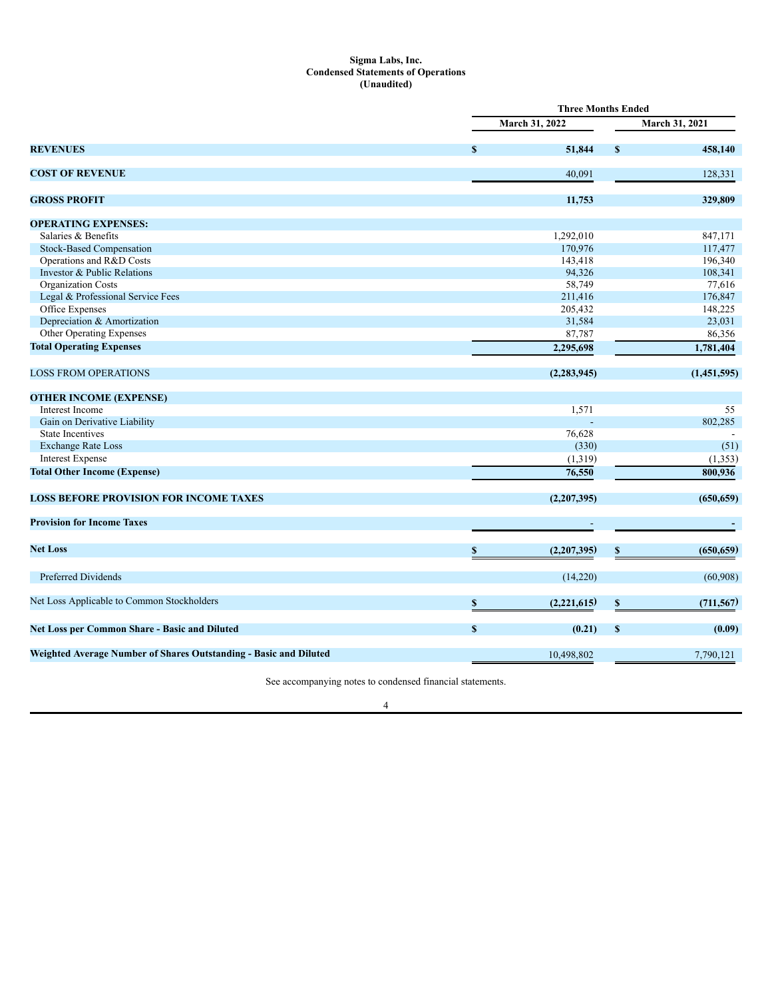### **Sigma Labs, Inc. Condensed Statements of Operations (Unaudited)**

|                                                                   |               |                | <b>Three Months Ended</b> |                |
|-------------------------------------------------------------------|---------------|----------------|---------------------------|----------------|
|                                                                   |               | March 31, 2022 |                           | March 31, 2021 |
| <b>REVENUES</b>                                                   | <sup>\$</sup> | 51,844         | $\mathbf{s}$              | 458,140        |
| <b>COST OF REVENUE</b>                                            |               | 40,091         |                           | 128,331        |
| <b>GROSS PROFIT</b>                                               |               | 11,753         |                           | 329,809        |
| <b>OPERATING EXPENSES:</b>                                        |               |                |                           |                |
| Salaries & Benefits                                               |               | 1,292,010      |                           | 847,171        |
| Stock-Based Compensation                                          |               | 170,976        |                           | 117,477        |
| Operations and R&D Costs                                          |               | 143,418        |                           | 196,340        |
| Investor & Public Relations                                       |               | 94,326         |                           | 108,341        |
| Organization Costs                                                |               | 58,749         |                           | 77,616         |
| Legal & Professional Service Fees                                 |               | 211,416        |                           | 176,847        |
| Office Expenses                                                   |               | 205,432        |                           | 148,225        |
| Depreciation & Amortization                                       |               | 31,584         |                           | 23,031         |
| Other Operating Expenses                                          |               | 87,787         |                           | 86,356         |
| <b>Total Operating Expenses</b>                                   |               | 2,295,698      |                           | 1,781,404      |
| <b>LOSS FROM OPERATIONS</b>                                       |               | (2, 283, 945)  |                           | (1,451,595)    |
| <b>OTHER INCOME (EXPENSE)</b>                                     |               |                |                           |                |
| Interest Income                                                   |               | 1,571          |                           | 55             |
| Gain on Derivative Liability                                      |               |                |                           | 802,285        |
| <b>State Incentives</b>                                           |               | 76,628         |                           |                |
| <b>Exchange Rate Loss</b>                                         |               | (330)          |                           | (51)           |
| <b>Interest Expense</b>                                           |               | (1,319)        |                           | (1,353)        |
| <b>Total Other Income (Expense)</b>                               |               | 76,550         |                           | 800,936        |
| <b>LOSS BEFORE PROVISION FOR INCOME TAXES</b>                     |               | (2,207,395)    |                           | (650, 659)     |
| <b>Provision for Income Taxes</b>                                 |               | $\sim$         |                           |                |
| <b>Net Loss</b>                                                   | \$            | (2,207,395)    | \$                        | (650, 659)     |
| Preferred Dividends                                               |               | (14,220)       |                           | (60,908)       |
|                                                                   |               |                |                           |                |
| Net Loss Applicable to Common Stockholders                        | $\mathbf{s}$  | (2,221,615)    | $\boldsymbol{s}$          | (711, 567)     |
| Net Loss per Common Share - Basic and Diluted                     | $\mathbf{s}$  | (0.21)         | $\boldsymbol{s}$          | (0.09)         |
| Weighted Average Number of Shares Outstanding - Basic and Diluted |               | 10,498,802     |                           | 7,790,121      |
|                                                                   |               |                |                           |                |

See accompanying notes to condensed financial statements.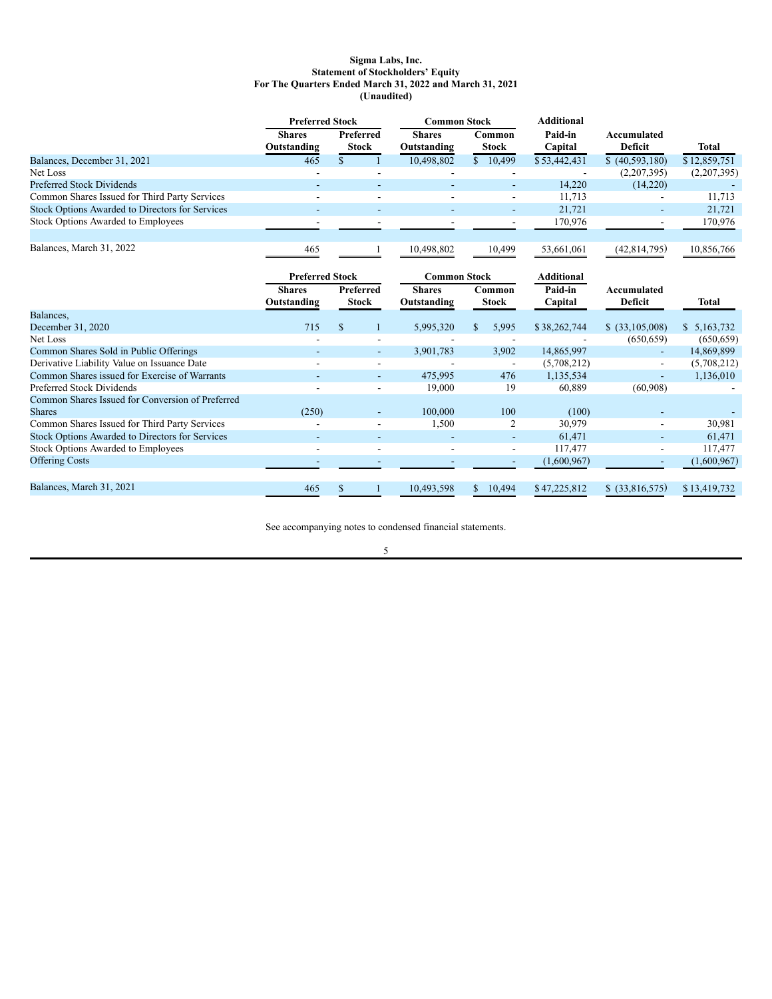### **Sigma Labs, Inc. Statement of Stockholders' Equity For The Quarters Ended March 31, 2022 and March 31, 2021 (Unaudited)**

|                                                 | <b>Preferred Stock</b>       |                                  |                              | Additional<br>Common Stock |                          |                          |              |
|-------------------------------------------------|------------------------------|----------------------------------|------------------------------|----------------------------|--------------------------|--------------------------|--------------|
|                                                 | <b>Shares</b><br>Outstanding | <b>Preferred</b><br><b>Stock</b> | <b>Shares</b><br>Outstanding | Common<br><b>Stock</b>     | Paid-in<br>Capital       | Accumulated<br>Deficit   | Total        |
| Balances, December 31, 2021                     | 465                          |                                  | 10,498,802                   | 10.499                     | \$53,442,431             | (40,593,180)             | \$12,859,751 |
| Net Loss                                        |                              |                                  | $\overline{\phantom{a}}$     |                            | $\overline{\phantom{0}}$ | (2,207,395)              | (2,207,395)  |
| Preferred Stock Dividends                       |                              |                                  |                              |                            | 14.220                   | (14,220)                 |              |
| Common Shares Issued for Third Party Services   | ۰.                           | $\overline{\phantom{a}}$         | $\overline{\phantom{a}}$     |                            | 11.713                   |                          | 11,713       |
| Stock Options Awarded to Directors for Services | ۰                            |                                  | ۰                            | ۰                          | 21.721                   | $\overline{\phantom{a}}$ | 21.721       |
| <b>Stock Options Awarded to Employees</b>       |                              |                                  |                              |                            | 170,976                  |                          | 170,976      |
|                                                 |                              |                                  |                              |                            |                          |                          |              |
| Balances, March 31, 2022                        | 465                          |                                  | 10.498.802                   | 10.499                     | 53.661.061               | (42, 814, 795)           | 10,856,766   |

|                                                  | <b>Preferred Stock</b>       |     | <b>Common Stock</b>       |                              | Additional |                 |                    |                          |              |
|--------------------------------------------------|------------------------------|-----|---------------------------|------------------------------|------------|-----------------|--------------------|--------------------------|--------------|
|                                                  | <b>Shares</b><br>Outstanding |     | Preferred<br><b>Stock</b> | <b>Shares</b><br>Outstanding |            | Common<br>Stock | Paid-in<br>Capital | Accumulated<br>Deficit   | Total        |
| Balances,                                        |                              |     |                           |                              |            |                 |                    |                          |              |
| December 31, 2020                                | 715                          | \$. |                           | 5,995,320                    |            | 5,995           | \$38,262,744       | \$ (33,105,008)          | \$5,163,732  |
| Net Loss                                         |                              |     |                           |                              |            |                 |                    | (650, 659)               | (650, 659)   |
| Common Shares Sold in Public Offerings           |                              |     | $\overline{\phantom{a}}$  | 3,901,783                    |            | 3,902           | 14,865,997         | $\overline{\phantom{a}}$ | 14,869,899   |
| Derivative Liability Value on Issuance Date      | ۰.                           |     | $\overline{\phantom{a}}$  |                              |            |                 | (5,708,212)        | $\sim$                   | (5,708,212)  |
| Common Shares issued for Exercise of Warrants    |                              |     | $\overline{\phantom{a}}$  | 475,995                      |            | 476             | 1,135,534          | ۰                        | 1,136,010    |
| Preferred Stock Dividends                        |                              |     |                           | 19,000                       |            | 19              | 60,889             | (60,908)                 |              |
| Common Shares Issued for Conversion of Preferred |                              |     |                           |                              |            |                 |                    |                          |              |
| <b>Shares</b>                                    | (250)                        |     |                           | 100,000                      |            | 100             | (100)              |                          |              |
| Common Shares Issued for Third Party Services    |                              |     |                           | .500                         |            |                 | 30,979             | $\blacksquare$           | 30,981       |
| Stock Options Awarded to Directors for Services  |                              |     |                           |                              |            | ÷               | 61,471             | ۰                        | 61,471       |
| <b>Stock Options Awarded to Employees</b>        | $\overline{\phantom{a}}$     |     |                           | $\overline{\phantom{a}}$     |            |                 | 117,477            | $\overline{\phantom{a}}$ | 117,477      |
| <b>Offering Costs</b>                            |                              |     |                           |                              |            |                 | (1,600,967)        |                          | (1,600,967)  |
| Balances, March 31, 2021                         | 465                          |     |                           | 10,493,598                   |            | 10,494          | \$47,225,812       | \$ (33,816,575)          | \$13,419,732 |

See accompanying notes to condensed financial statements.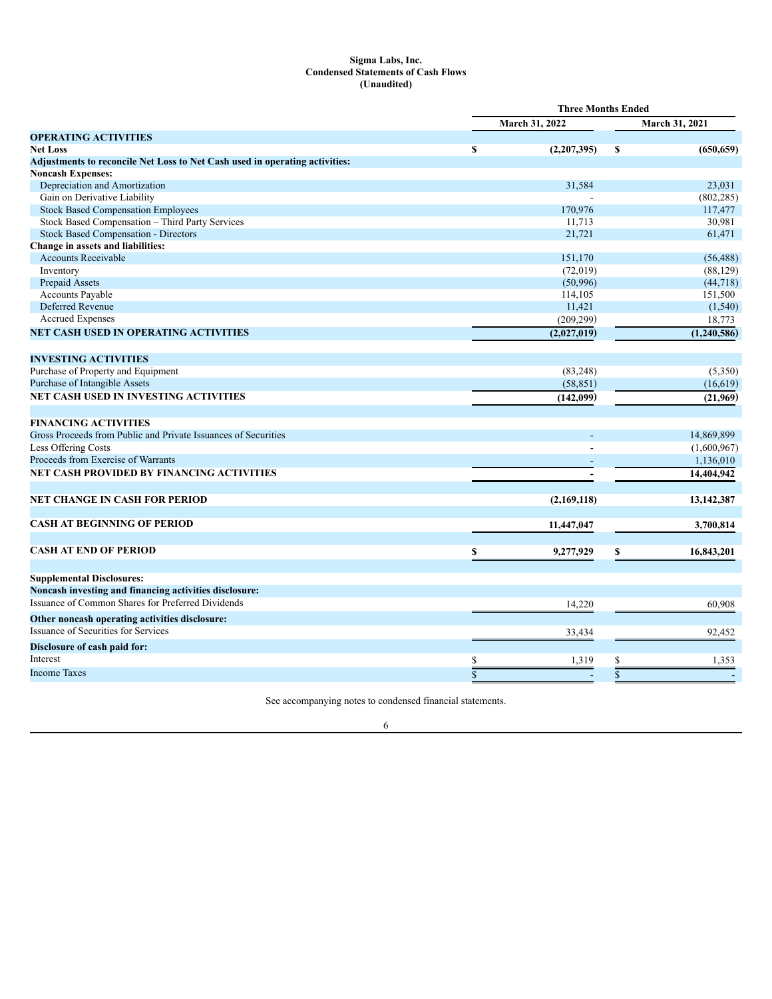### **Sigma Labs, Inc. Condensed Statements of Cash Flows (Unaudited)**

|                                                                             | <b>Three Months Ended</b> |                        |  |
|-----------------------------------------------------------------------------|---------------------------|------------------------|--|
|                                                                             | March 31, 2022            | March 31, 2021         |  |
| <b>OPERATING ACTIVITIES</b>                                                 |                           |                        |  |
| <b>Net Loss</b>                                                             | (2,207,395)<br>\$         | (650, 659)<br><b>S</b> |  |
| Adjustments to reconcile Net Loss to Net Cash used in operating activities: |                           |                        |  |
| <b>Noncash Expenses:</b>                                                    |                           |                        |  |
| Depreciation and Amortization                                               | 31,584                    | 23,031                 |  |
| Gain on Derivative Liability                                                |                           | (802, 285)             |  |
| <b>Stock Based Compensation Employees</b>                                   | 170,976                   | 117,477                |  |
| Stock Based Compensation - Third Party Services                             | 11,713                    | 30,981                 |  |
| <b>Stock Based Compensation - Directors</b>                                 | 21,721                    | 61,471                 |  |
| Change in assets and liabilities:                                           |                           |                        |  |
| <b>Accounts Receivable</b>                                                  | 151,170                   | (56, 488)              |  |
| Inventory                                                                   | (72,019)                  | (88, 129)              |  |
| Prepaid Assets                                                              | (50,996)                  | (44, 718)              |  |
| Accounts Payable                                                            | 114,105                   | 151,500                |  |
| Deferred Revenue                                                            | 11,421                    | (1, 540)               |  |
| <b>Accrued Expenses</b>                                                     | (209, 299)                | 18,773                 |  |
| NET CASH USED IN OPERATING ACTIVITIES                                       | (2,027,019)               | (1,240,586)            |  |
|                                                                             |                           |                        |  |
| <b>INVESTING ACTIVITIES</b>                                                 |                           |                        |  |
| Purchase of Property and Equipment                                          | (83, 248)                 | (5,350)                |  |
| Purchase of Intangible Assets                                               | (58, 851)                 | (16,619)               |  |
| <b>NET CASH USED IN INVESTING ACTIVITIES</b>                                | (142,099)                 | (21,969)               |  |
| <b>FINANCING ACTIVITIES</b>                                                 |                           |                        |  |
| Gross Proceeds from Public and Private Issuances of Securities              |                           | 14,869,899             |  |
| Less Offering Costs                                                         |                           | (1,600,967)            |  |
| Proceeds from Exercise of Warrants                                          |                           | 1,136,010              |  |
| NET CASH PROVIDED BY FINANCING ACTIVITIES                                   |                           |                        |  |
|                                                                             |                           | 14,404,942             |  |
| <b>NET CHANGE IN CASH FOR PERIOD</b>                                        | (2,169,118)               | 13,142,387             |  |
| <b>CASH AT BEGINNING OF PERIOD</b>                                          | 11,447,047                | 3,700,814              |  |
|                                                                             |                           |                        |  |
| <b>CASH AT END OF PERIOD</b>                                                | 9,277,929                 | 16,843,201             |  |
| <b>Supplemental Disclosures:</b>                                            |                           |                        |  |
| Noncash investing and financing activities disclosure:                      |                           |                        |  |
| Issuance of Common Shares for Preferred Dividends                           | 14,220                    | 60.908                 |  |
| Other noncash operating activities disclosure:                              |                           |                        |  |
| Issuance of Securities for Services                                         | 33,434                    | 92,452                 |  |
| Disclosure of cash paid for:                                                |                           |                        |  |
| Interest                                                                    | \$<br>1,319               | 1,353                  |  |
| <b>Income Taxes</b>                                                         | $\overline{\mathbb{S}}$   | $\mathbf{s}$           |  |

See accompanying notes to condensed financial statements.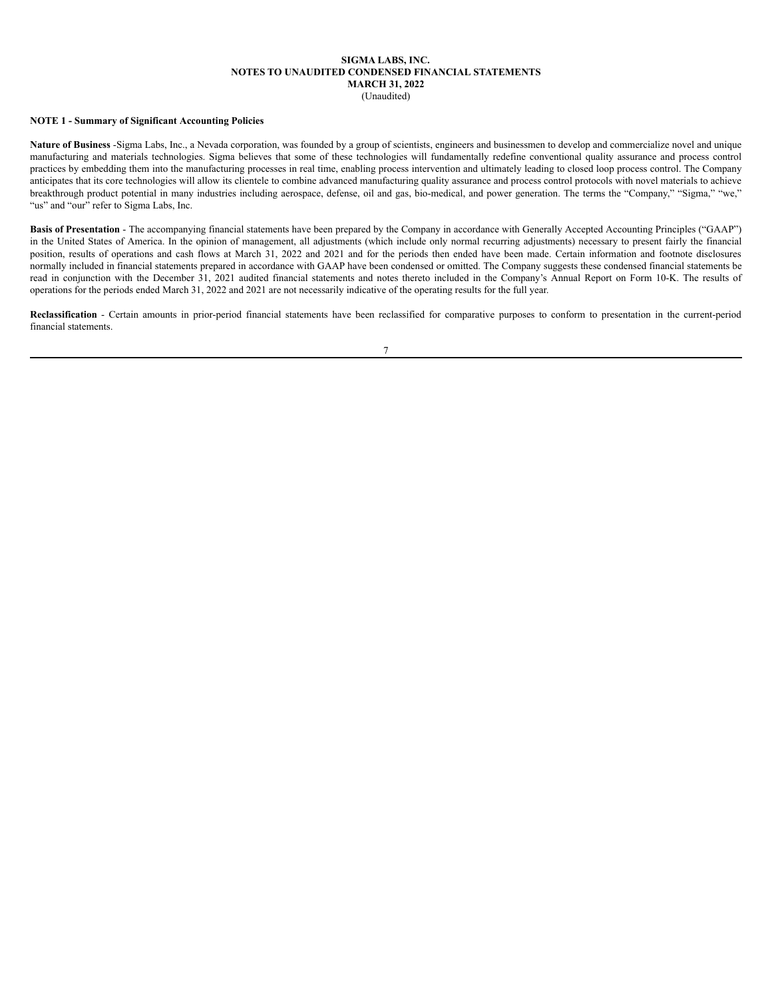# **SIGMA LABS, INC. NOTES TO UNAUDITED CONDENSED FINANCIAL STATEMENTS MARCH 31, 2022**

(Unaudited)

### **NOTE 1 - Summary of Significant Accounting Policies**

**Nature of Business** -Sigma Labs, Inc., a Nevada corporation, was founded by a group of scientists, engineers and businessmen to develop and commercialize novel and unique manufacturing and materials technologies. Sigma believes that some of these technologies will fundamentally redefine conventional quality assurance and process control practices by embedding them into the manufacturing processes in real time, enabling process intervention and ultimately leading to closed loop process control. The Company anticipates that its core technologies will allow its clientele to combine advanced manufacturing quality assurance and process control protocols with novel materials to achieve breakthrough product potential in many industries including aerospace, defense, oil and gas, bio-medical, and power generation. The terms the "Company," "Sigma," "we," "us" and "our" refer to Sigma Labs, Inc.

**Basis of Presentation** - The accompanying financial statements have been prepared by the Company in accordance with Generally Accepted Accounting Principles ("GAAP") in the United States of America. In the opinion of management, all adjustments (which include only normal recurring adjustments) necessary to present fairly the financial position, results of operations and cash flows at March 31, 2022 and 2021 and for the periods then ended have been made. Certain information and footnote disclosures normally included in financial statements prepared in accordance with GAAP have been condensed or omitted. The Company suggests these condensed financial statements be read in conjunction with the December 31, 2021 audited financial statements and notes thereto included in the Company's Annual Report on Form 10-K. The results of operations for the periods ended March 31, 2022 and 2021 are not necessarily indicative of the operating results for the full year.

**Reclassification** - Certain amounts in prior-period financial statements have been reclassified for comparative purposes to conform to presentation in the current-period financial statements.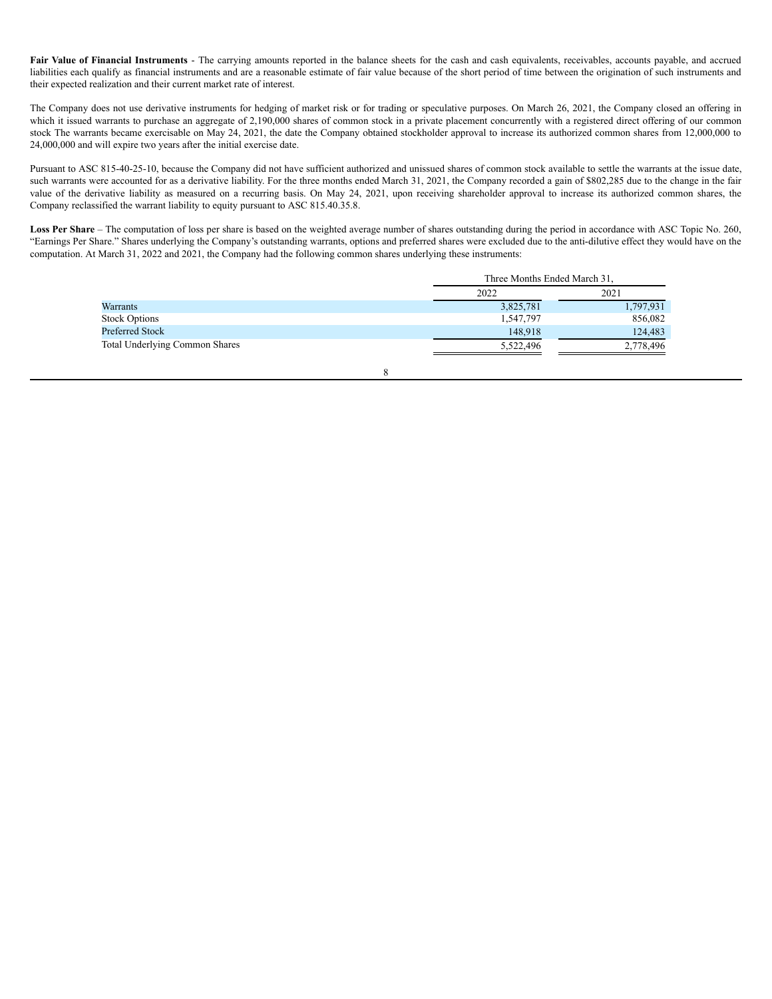**Fair Value of Financial Instruments** - The carrying amounts reported in the balance sheets for the cash and cash equivalents, receivables, accounts payable, and accrued liabilities each qualify as financial instruments and are a reasonable estimate of fair value because of the short period of time between the origination of such instruments and their expected realization and their current market rate of interest.

The Company does not use derivative instruments for hedging of market risk or for trading or speculative purposes. On March 26, 2021, the Company closed an offering in which it issued warrants to purchase an aggregate of 2,190,000 shares of common stock in a private placement concurrently with a registered direct offering of our common stock The warrants became exercisable on May 24, 2021, the date the Company obtained stockholder approval to increase its authorized common shares from 12,000,000 to 24,000,000 and will expire two years after the initial exercise date.

Pursuant to ASC 815-40-25-10, because the Company did not have sufficient authorized and unissued shares of common stock available to settle the warrants at the issue date, such warrants were accounted for as a derivative liability. For the three months ended March 31, 2021, the Company recorded a gain of \$802,285 due to the change in the fair value of the derivative liability as measured on a recurring basis. On May 24, 2021, upon receiving shareholder approval to increase its authorized common shares, the Company reclassified the warrant liability to equity pursuant to ASC 815.40.35.8.

**Loss Per Share** – The computation of loss per share is based on the weighted average number of shares outstanding during the period in accordance with ASC Topic No. 260, "Earnings Per Share." Shares underlying the Company's outstanding warrants, options and preferred shares were excluded due to the anti-dilutive effect they would have on the computation. At March 31, 2022 and 2021, the Company had the following common shares underlying these instruments:

|                                |           | Three Months Ended March 31, |  |  |  |
|--------------------------------|-----------|------------------------------|--|--|--|
|                                | 2022      | 2021                         |  |  |  |
| Warrants                       | 3,825,781 | 1,797,931                    |  |  |  |
| <b>Stock Options</b>           | 1,547,797 | 856,082                      |  |  |  |
| Preferred Stock                | 148.918   | 124.483                      |  |  |  |
| Total Underlying Common Shares | 5,522,496 | 2,778,496                    |  |  |  |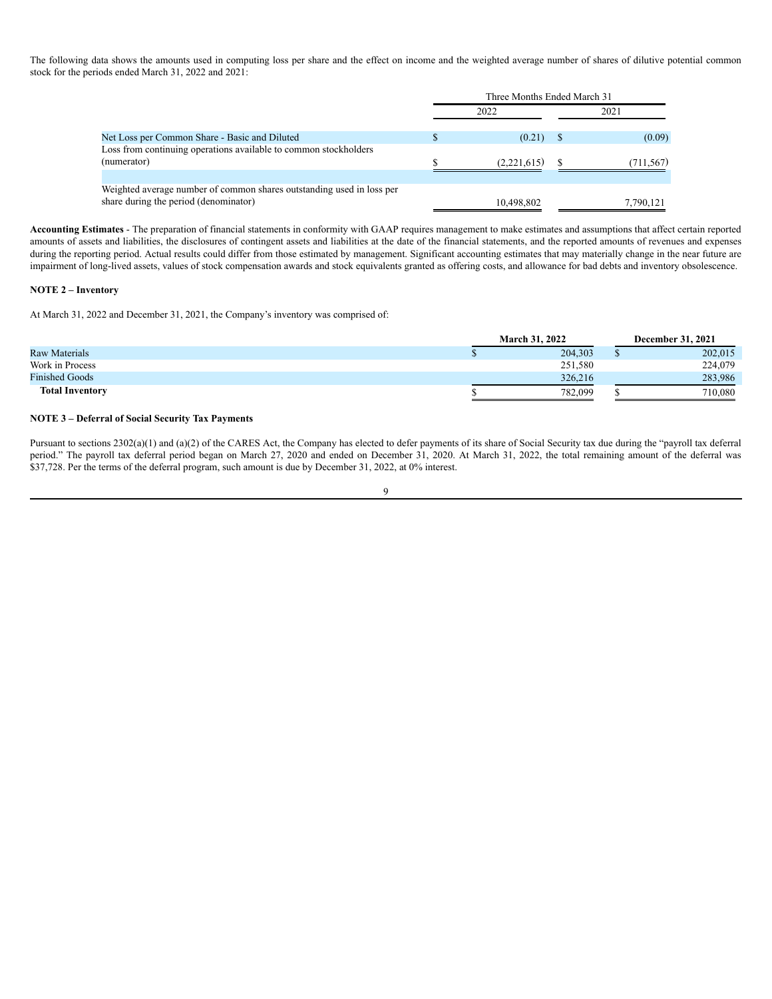The following data shows the amounts used in computing loss per share and the effect on income and the weighted average number of shares of dilutive potential common stock for the periods ended March 31, 2022 and 2021:

|                                                                                                                | Three Months Ended March 31 |             |    |            |  |
|----------------------------------------------------------------------------------------------------------------|-----------------------------|-------------|----|------------|--|
|                                                                                                                |                             | 2022        |    | 2021       |  |
| Net Loss per Common Share - Basic and Diluted                                                                  | S                           | (0.21)      | -8 | (0.09)     |  |
| Loss from continuing operations available to common stockholders                                               |                             |             |    |            |  |
| (numerator)                                                                                                    |                             | (2,221,615) |    | (711, 567) |  |
|                                                                                                                |                             |             |    |            |  |
| Weighted average number of common shares outstanding used in loss per<br>share during the period (denominator) |                             | 10,498,802  |    | 7.790.121  |  |

**Accounting Estimates** - The preparation of financial statements in conformity with GAAP requires management to make estimates and assumptions that affect certain reported amounts of assets and liabilities, the disclosures of contingent assets and liabilities at the date of the financial statements, and the reported amounts of revenues and expenses during the reporting period. Actual results could differ from those estimated by management. Significant accounting estimates that may materially change in the near future are impairment of long-lived assets, values of stock compensation awards and stock equivalents granted as offering costs, and allowance for bad debts and inventory obsolescence.

### **NOTE 2 – Inventory**

At March 31, 2022 and December 31, 2021, the Company's inventory was comprised of:

|                        | <b>March 31, 2022</b> | <b>December 31, 2021</b> |
|------------------------|-----------------------|--------------------------|
| <b>Raw Materials</b>   | 204,303               | 202,015                  |
| Work in Process        | 251,580               | 224,079                  |
| <b>Finished Goods</b>  | 326.216               | 283,986                  |
| <b>Total Inventory</b> | 782,099               | 710,080                  |

### **NOTE 3 – Deferral of Social Security Tax Payments**

Pursuant to sections 2302(a)(1) and (a)(2) of the CARES Act, the Company has elected to defer payments of its share of Social Security tax due during the "payroll tax deferral period." The payroll tax deferral period began on March 27, 2020 and ended on December 31, 2020. At March 31, 2022, the total remaining amount of the deferral was \$37,728. Per the terms of the deferral program, such amount is due by December 31, 2022, at 0% interest.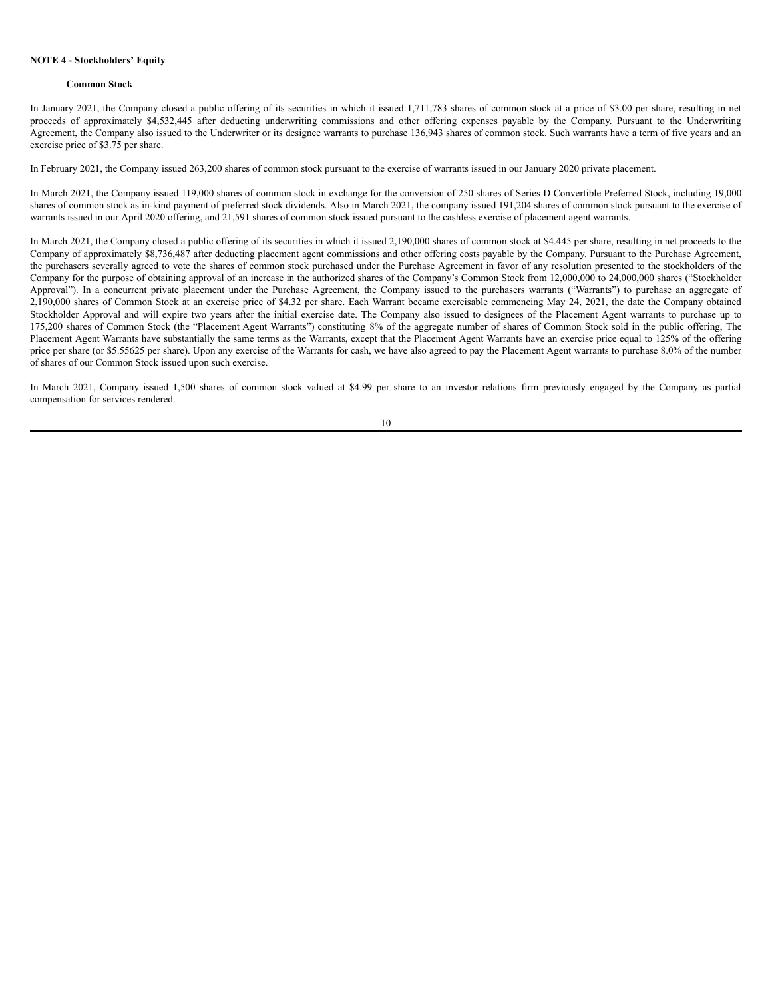### **NOTE 4 - Stockholders' Equity**

#### **Common Stock**

In January 2021, the Company closed a public offering of its securities in which it issued 1,711,783 shares of common stock at a price of \$3.00 per share, resulting in net proceeds of approximately \$4,532,445 after deducting underwriting commissions and other offering expenses payable by the Company. Pursuant to the Underwriting Agreement, the Company also issued to the Underwriter or its designee warrants to purchase 136,943 shares of common stock. Such warrants have a term of five years and an exercise price of \$3.75 per share.

In February 2021, the Company issued 263,200 shares of common stock pursuant to the exercise of warrants issued in our January 2020 private placement.

In March 2021, the Company issued 119,000 shares of common stock in exchange for the conversion of 250 shares of Series D Convertible Preferred Stock, including 19,000 shares of common stock as in-kind payment of preferred stock dividends. Also in March 2021, the company issued 191,204 shares of common stock pursuant to the exercise of warrants issued in our April 2020 offering, and 21,591 shares of common stock issued pursuant to the cashless exercise of placement agent warrants.

In March 2021, the Company closed a public offering of its securities in which it issued 2,190,000 shares of common stock at \$4.445 per share, resulting in net proceeds to the Company of approximately \$8,736,487 after deducting placement agent commissions and other offering costs payable by the Company. Pursuant to the Purchase Agreement, the purchasers severally agreed to vote the shares of common stock purchased under the Purchase Agreement in favor of any resolution presented to the stockholders of the Company for the purpose of obtaining approval of an increase in the authorized shares of the Company's Common Stock from 12,000,000 to 24,000,000 shares ("Stockholder Approval"). In a concurrent private placement under the Purchase Agreement, the Company issued to the purchasers warrants ("Warrants") to purchase an aggregate of 2,190,000 shares of Common Stock at an exercise price of \$4.32 per share. Each Warrant became exercisable commencing May 24, 2021, the date the Company obtained Stockholder Approval and will expire two years after the initial exercise date. The Company also issued to designees of the Placement Agent warrants to purchase up to 175,200 shares of Common Stock (the "Placement Agent Warrants") constituting 8% of the aggregate number of shares of Common Stock sold in the public offering, The Placement Agent Warrants have substantially the same terms as the Warrants, except that the Placement Agent Warrants have an exercise price equal to 125% of the offering price per share (or \$5.55625 per share). Upon any exercise of the Warrants for cash, we have also agreed to pay the Placement Agent warrants to purchase 8.0% of the number of shares of our Common Stock issued upon such exercise.

In March 2021, Company issued 1,500 shares of common stock valued at \$4.99 per share to an investor relations firm previously engaged by the Company as partial compensation for services rendered.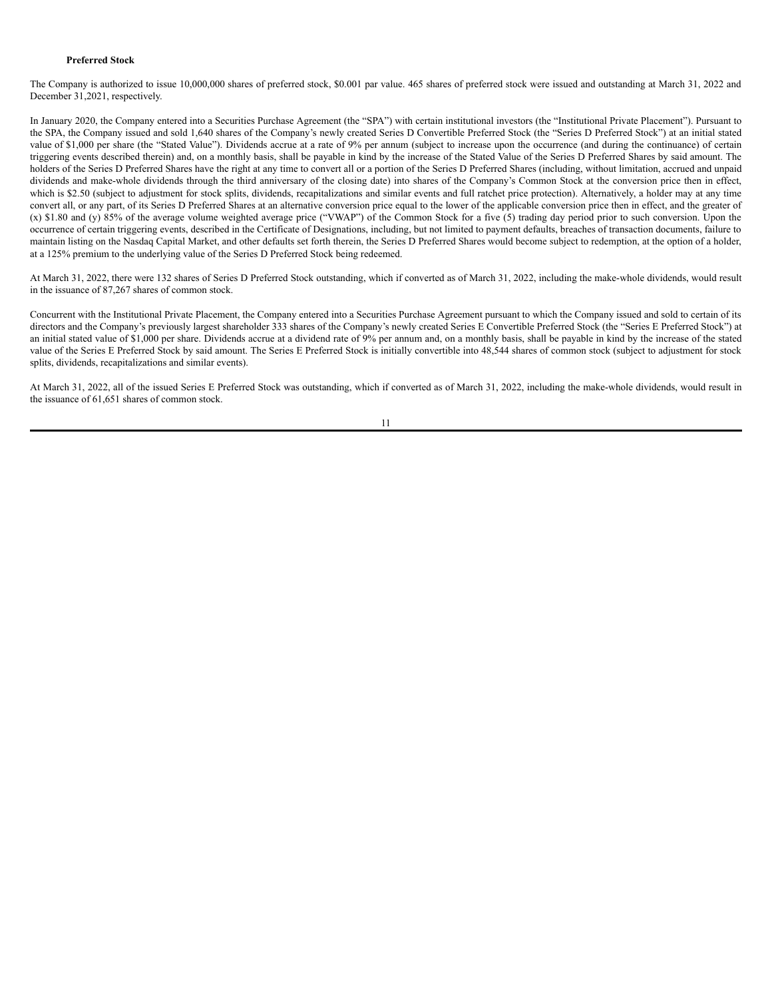### **Preferred Stock**

The Company is authorized to issue 10,000,000 shares of preferred stock, \$0.001 par value. 465 shares of preferred stock were issued and outstanding at March 31, 2022 and December 31,2021, respectively.

In January 2020, the Company entered into a Securities Purchase Agreement (the "SPA") with certain institutional investors (the "Institutional Private Placement"). Pursuant to the SPA, the Company issued and sold 1,640 shares of the Company's newly created Series D Convertible Preferred Stock (the "Series D Preferred Stock") at an initial stated value of \$1,000 per share (the "Stated Value"). Dividends accrue at a rate of 9% per annum (subject to increase upon the occurrence (and during the continuance) of certain triggering events described therein) and, on a monthly basis, shall be payable in kind by the increase of the Stated Value of the Series D Preferred Shares by said amount. The holders of the Series D Preferred Shares have the right at any time to convert all or a portion of the Series D Preferred Shares (including, without limitation, accrued and unpaid dividends and make-whole dividends through the third anniversary of the closing date) into shares of the Company's Common Stock at the conversion price then in effect, which is \$2.50 (subject to adjustment for stock splits, dividends, recapitalizations and similar events and full ratchet price protection). Alternatively, a holder may at any time convert all, or any part, of its Series D Preferred Shares at an alternative conversion price equal to the lower of the applicable conversion price then in effect, and the greater of (x) \$1.80 and (y) 85% of the average volume weighted average price ("VWAP") of the Common Stock for a five (5) trading day period prior to such conversion. Upon the occurrence of certain triggering events, described in the Certificate of Designations, including, but not limited to payment defaults, breaches of transaction documents, failure to maintain listing on the Nasdaq Capital Market, and other defaults set forth therein, the Series D Preferred Shares would become subject to redemption, at the option of a holder, at a 125% premium to the underlying value of the Series D Preferred Stock being redeemed.

At March 31, 2022, there were 132 shares of Series D Preferred Stock outstanding, which if converted as of March 31, 2022, including the make-whole dividends, would result in the issuance of 87,267 shares of common stock.

Concurrent with the Institutional Private Placement, the Company entered into a Securities Purchase Agreement pursuant to which the Company issued and sold to certain of its directors and the Company's previously largest shareholder 333 shares of the Company's newly created Series E Convertible Preferred Stock (the "Series E Preferred Stock") at an initial stated value of \$1,000 per share. Dividends accrue at a dividend rate of 9% per annum and, on a monthly basis, shall be payable in kind by the increase of the stated value of the Series E Preferred Stock by said amount. The Series E Preferred Stock is initially convertible into 48,544 shares of common stock (subject to adjustment for stock splits, dividends, recapitalizations and similar events).

At March 31, 2022, all of the issued Series E Preferred Stock was outstanding, which if converted as of March 31, 2022, including the make-whole dividends, would result in the issuance of 61,651 shares of common stock.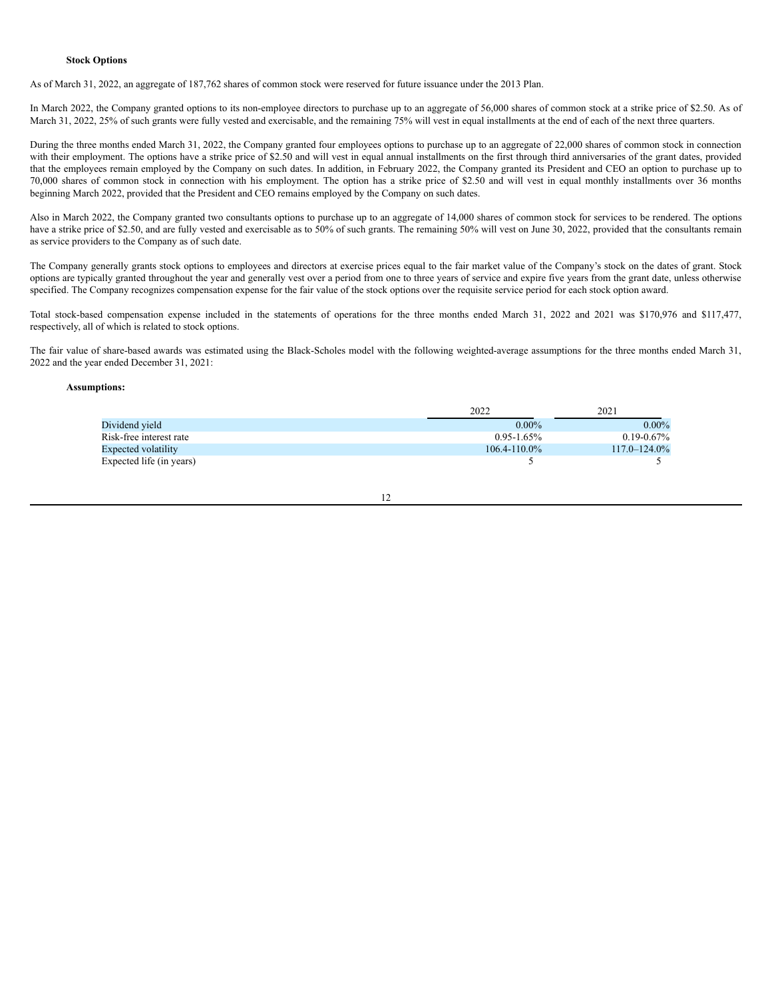#### **Stock Options**

As of March 31, 2022, an aggregate of 187,762 shares of common stock were reserved for future issuance under the 2013 Plan.

In March 2022, the Company granted options to its non-employee directors to purchase up to an aggregate of 56,000 shares of common stock at a strike price of \$2.50. As of March 31, 2022, 25% of such grants were fully vested and exercisable, and the remaining 75% will vest in equal installments at the end of each of the next three quarters.

During the three months ended March 31, 2022, the Company granted four employees options to purchase up to an aggregate of 22,000 shares of common stock in connection with their employment. The options have a strike price of \$2.50 and will vest in equal annual installments on the first through third anniversaries of the grant dates, provided that the employees remain employed by the Company on such dates. In addition, in February 2022, the Company granted its President and CEO an option to purchase up to 70,000 shares of common stock in connection with his employment. The option has a strike price of \$2.50 and will vest in equal monthly installments over 36 months beginning March 2022, provided that the President and CEO remains employed by the Company on such dates.

Also in March 2022, the Company granted two consultants options to purchase up to an aggregate of 14,000 shares of common stock for services to be rendered. The options have a strike price of \$2.50, and are fully vested and exercisable as to 50% of such grants. The remaining 50% will vest on June 30, 2022, provided that the consultants remain as service providers to the Company as of such date.

The Company generally grants stock options to employees and directors at exercise prices equal to the fair market value of the Company's stock on the dates of grant. Stock options are typically granted throughout the year and generally vest over a period from one to three years of service and expire five years from the grant date, unless otherwise specified. The Company recognizes compensation expense for the fair value of the stock options over the requisite service period for each stock option award.

Total stock-based compensation expense included in the statements of operations for the three months ended March 31, 2022 and 2021 was \$170,976 and \$117,477, respectively, all of which is related to stock options.

The fair value of share-based awards was estimated using the Black-Scholes model with the following weighted-average assumptions for the three months ended March 31, 2022 and the year ended December 31, 2021:

### **Assumptions:**

|                          | 2022              | 2021              |
|--------------------------|-------------------|-------------------|
| Dividend vield           | $0.00\%$          | $0.00\%$          |
| Risk-free interest rate  | $0.95 - 1.65\%$   | $0.19 - 0.67\%$   |
| Expected volatility      | $106.4 - 110.0\%$ | $117.0 - 124.0\%$ |
| Expected life (in years) |                   |                   |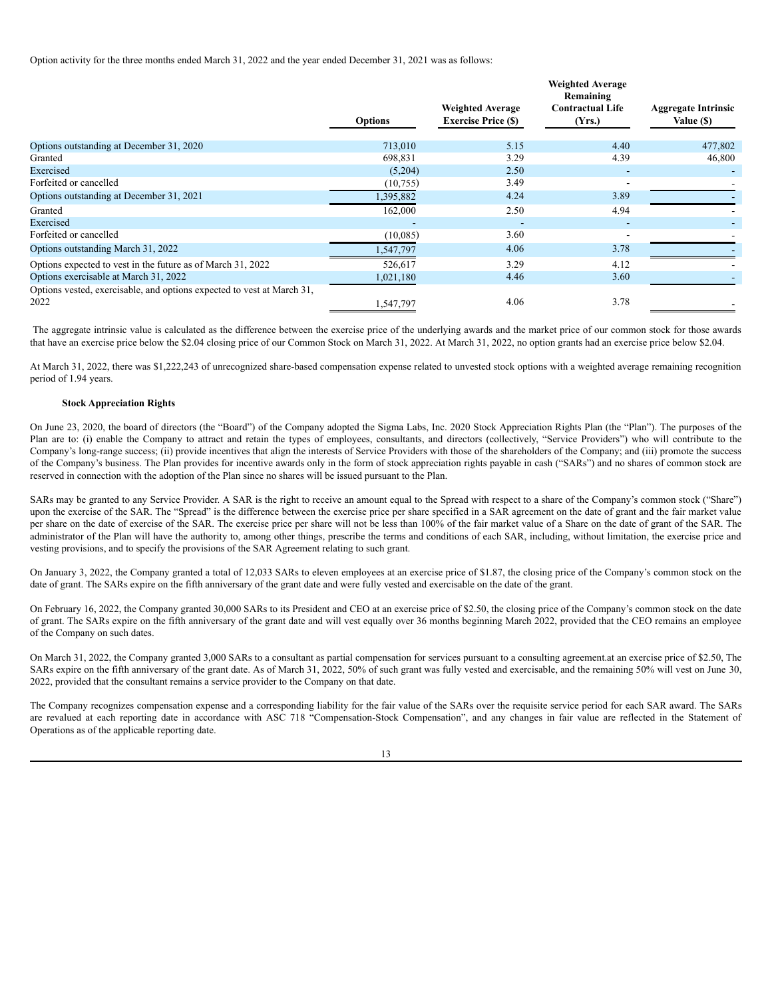Option activity for the three months ended March 31, 2022 and the year ended December 31, 2021 was as follows:

|                                                                                | <b>Weighted Average</b><br>Remaining |                                                       |                                   |                                          |
|--------------------------------------------------------------------------------|--------------------------------------|-------------------------------------------------------|-----------------------------------|------------------------------------------|
|                                                                                | <b>Options</b>                       | <b>Weighted Average</b><br><b>Exercise Price (\$)</b> | <b>Contractual Life</b><br>(Yrs.) | <b>Aggregate Intrinsic</b><br>Value (\$) |
| Options outstanding at December 31, 2020                                       | 713,010                              | 5.15                                                  | 4.40                              | 477,802                                  |
| Granted                                                                        | 698,831                              | 3.29                                                  | 4.39                              | 46,800                                   |
| Exercised                                                                      | (5,204)                              | 2.50                                                  |                                   |                                          |
| Forfeited or cancelled                                                         | (10,755)                             | 3.49                                                  |                                   |                                          |
| Options outstanding at December 31, 2021                                       | 1,395,882                            | 4.24                                                  | 3.89                              |                                          |
| Granted                                                                        | 162,000                              | 2.50                                                  | 4.94                              |                                          |
| Exercised                                                                      | $\overline{\phantom{0}}$             |                                                       |                                   |                                          |
| Forfeited or cancelled                                                         | (10,085)                             | 3.60                                                  |                                   |                                          |
| Options outstanding March 31, 2022                                             | 1,547,797                            | 4.06                                                  | 3.78                              |                                          |
| Options expected to vest in the future as of March 31, 2022                    | 526,617                              | 3.29                                                  | 4.12                              |                                          |
| Options exercisable at March 31, 2022                                          | 1,021,180                            | 4.46                                                  | 3.60                              |                                          |
| Options vested, exercisable, and options expected to vest at March 31,<br>2022 | 1,547,797                            | 4.06                                                  | 3.78                              |                                          |

The aggregate intrinsic value is calculated as the difference between the exercise price of the underlying awards and the market price of our common stock for those awards that have an exercise price below the \$2.04 closing price of our Common Stock on March 31, 2022. At March 31, 2022, no option grants had an exercise price below \$2.04.

At March 31, 2022, there was \$1,222,243 of unrecognized share-based compensation expense related to unvested stock options with a weighted average remaining recognition period of 1.94 years.

### **Stock Appreciation Rights**

On June 23, 2020, the board of directors (the "Board") of the Company adopted the Sigma Labs, Inc. 2020 Stock Appreciation Rights Plan (the "Plan"). The purposes of the Plan are to: (i) enable the Company to attract and retain the types of employees, consultants, and directors (collectively, "Service Providers") who will contribute to the Company's long-range success; (ii) provide incentives that align the interests of Service Providers with those of the shareholders of the Company; and (iii) promote the success of the Company's business. The Plan provides for incentive awards only in the form of stock appreciation rights payable in cash ("SARs") and no shares of common stock are reserved in connection with the adoption of the Plan since no shares will be issued pursuant to the Plan.

SARs may be granted to any Service Provider. A SAR is the right to receive an amount equal to the Spread with respect to a share of the Company's common stock ("Share") upon the exercise of the SAR. The "Spread" is the difference between the exercise price per share specified in a SAR agreement on the date of grant and the fair market value per share on the date of exercise of the SAR. The exercise price per share will not be less than 100% of the fair market value of a Share on the date of grant of the SAR. The administrator of the Plan will have the authority to, among other things, prescribe the terms and conditions of each SAR, including, without limitation, the exercise price and vesting provisions, and to specify the provisions of the SAR Agreement relating to such grant.

On January 3, 2022, the Company granted a total of 12,033 SARs to eleven employees at an exercise price of \$1.87, the closing price of the Company's common stock on the date of grant. The SARs expire on the fifth anniversary of the grant date and were fully vested and exercisable on the date of the grant.

On February 16, 2022, the Company granted 30,000 SARs to its President and CEO at an exercise price of \$2.50, the closing price of the Company's common stock on the date of grant. The SARs expire on the fifth anniversary of the grant date and will vest equally over 36 months beginning March 2022, provided that the CEO remains an employee of the Company on such dates.

On March 31, 2022, the Company granted 3,000 SARs to a consultant as partial compensation for services pursuant to a consulting agreement.at an exercise price of \$2.50, The SARs expire on the fifth anniversary of the grant date. As of March 31, 2022, 50% of such grant was fully vested and exercisable, and the remaining 50% will vest on June 30, 2022, provided that the consultant remains a service provider to the Company on that date.

The Company recognizes compensation expense and a corresponding liability for the fair value of the SARs over the requisite service period for each SAR award. The SARs are revalued at each reporting date in accordance with ASC 718 "Compensation-Stock Compensation", and any changes in fair value are reflected in the Statement of Operations as of the applicable reporting date.

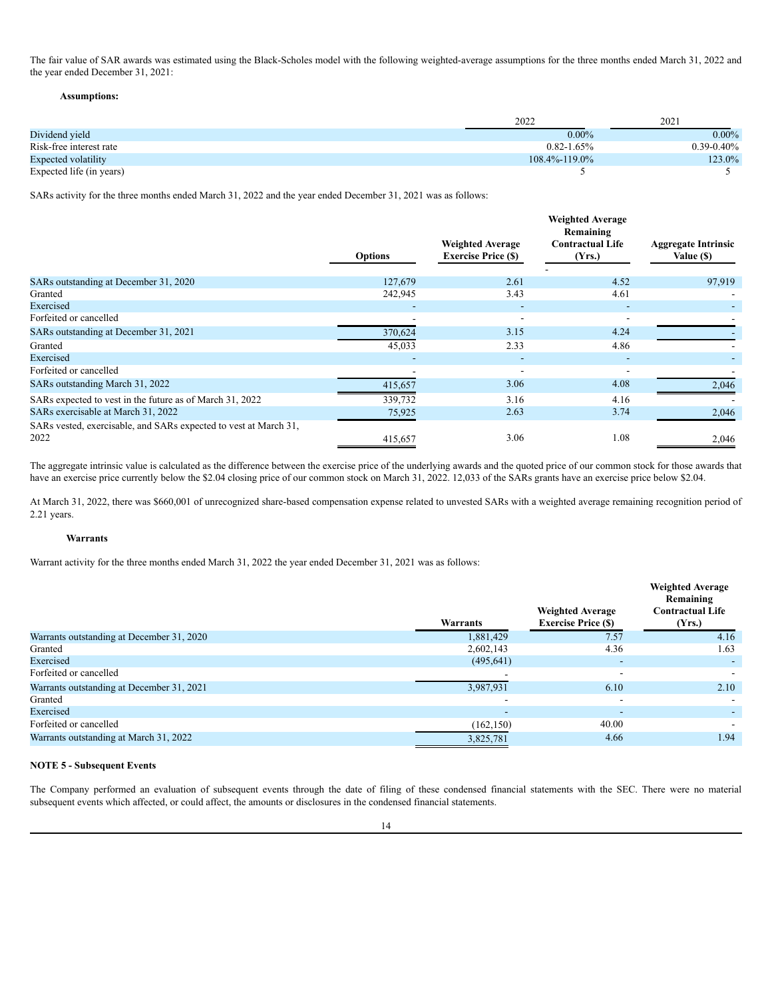The fair value of SAR awards was estimated using the Black-Scholes model with the following weighted-average assumptions for the three months ended March 31, 2022 and the year ended December 31, 2021:

### **Assumptions:**

|                          | 2022                | 2021            |
|--------------------------|---------------------|-----------------|
| Dividend vield           | $0.00\%$            | $0.00\%$        |
| Risk-free interest rate  | $0.82 - 1.65\%$     | $0.39 - 0.40\%$ |
| Expected volatility      | $108.4\% - 119.0\%$ | 123.0%          |
| Expected life (in years) |                     |                 |

SARs activity for the three months ended March 31, 2022 and the year ended December 31, 2021 was as follows:

|                                                                          | <b>Options</b> | <b>Weighted Average</b><br><b>Exercise Price (\$)</b> | <b>Weighted Average</b><br>Remaining<br><b>Contractual Life</b><br>(Yrs.) | <b>Aggregate Intrinsic</b><br>Value (\$) |
|--------------------------------------------------------------------------|----------------|-------------------------------------------------------|---------------------------------------------------------------------------|------------------------------------------|
| SARs outstanding at December 31, 2020                                    | 127,679        | 2.61                                                  | 4.52                                                                      | 97,919                                   |
| Granted                                                                  | 242,945        | 3.43                                                  | 4.61                                                                      |                                          |
| Exercised                                                                | ٠              |                                                       |                                                                           |                                          |
| Forfeited or cancelled                                                   |                |                                                       |                                                                           |                                          |
| SARs outstanding at December 31, 2021                                    | 370,624        | 3.15                                                  | 4.24                                                                      |                                          |
| Granted                                                                  | 45,033         | 2.33                                                  | 4.86                                                                      |                                          |
| Exercised                                                                |                |                                                       |                                                                           |                                          |
| Forfeited or cancelled                                                   |                |                                                       |                                                                           |                                          |
| SARs outstanding March 31, 2022                                          | 415,657        | 3.06                                                  | 4.08                                                                      | 2,046                                    |
| SARs expected to vest in the future as of March 31, 2022                 | 339,732        | 3.16                                                  | 4.16                                                                      |                                          |
| SARs exercisable at March 31, 2022                                       | 75,925         | 2.63                                                  | 3.74                                                                      | 2,046                                    |
| SARs vested, exercisable, and SARs expected to vest at March 31,<br>2022 | 415,657        | 3.06                                                  | 1.08                                                                      | 2,046                                    |

The aggregate intrinsic value is calculated as the difference between the exercise price of the underlying awards and the quoted price of our common stock for those awards that have an exercise price currently below the \$2.04 closing price of our common stock on March 31, 2022. 12,033 of the SARs grants have an exercise price below \$2.04.

At March 31, 2022, there was \$660,001 of unrecognized share-based compensation expense related to unvested SARs with a weighted average remaining recognition period of 2.21 years.

#### **Warrants**

Warrant activity for the three months ended March 31, 2022 the year ended December 31, 2021 was as follows:

|                                           |            | <b>Weighted Average</b>    | <b>Weighted Average</b><br>Remaining<br><b>Contractual Life</b> |
|-------------------------------------------|------------|----------------------------|-----------------------------------------------------------------|
|                                           | Warrants   | <b>Exercise Price (\$)</b> | (Yrs.)                                                          |
| Warrants outstanding at December 31, 2020 | 1,881,429  | 7.57                       | 4.16                                                            |
| Granted                                   | 2,602,143  | 4.36                       | 1.63                                                            |
| Exercised                                 | (495, 641) | $\blacksquare$             |                                                                 |
| Forfeited or cancelled                    |            |                            |                                                                 |
| Warrants outstanding at December 31, 2021 | 3,987,931  | 6.10                       | 2.10                                                            |
| Granted                                   |            | $\overline{\phantom{0}}$   |                                                                 |
| Exercised                                 | ٠          | $\overline{\phantom{0}}$   |                                                                 |
| Forfeited or cancelled                    | (162, 150) | 40.00                      |                                                                 |
| Warrants outstanding at March 31, 2022    | 3,825,781  | 4.66                       | 1.94                                                            |

#### **NOTE 5 - Subsequent Events**

The Company performed an evaluation of subsequent events through the date of filing of these condensed financial statements with the SEC. There were no material subsequent events which affected, or could affect, the amounts or disclosures in the condensed financial statements.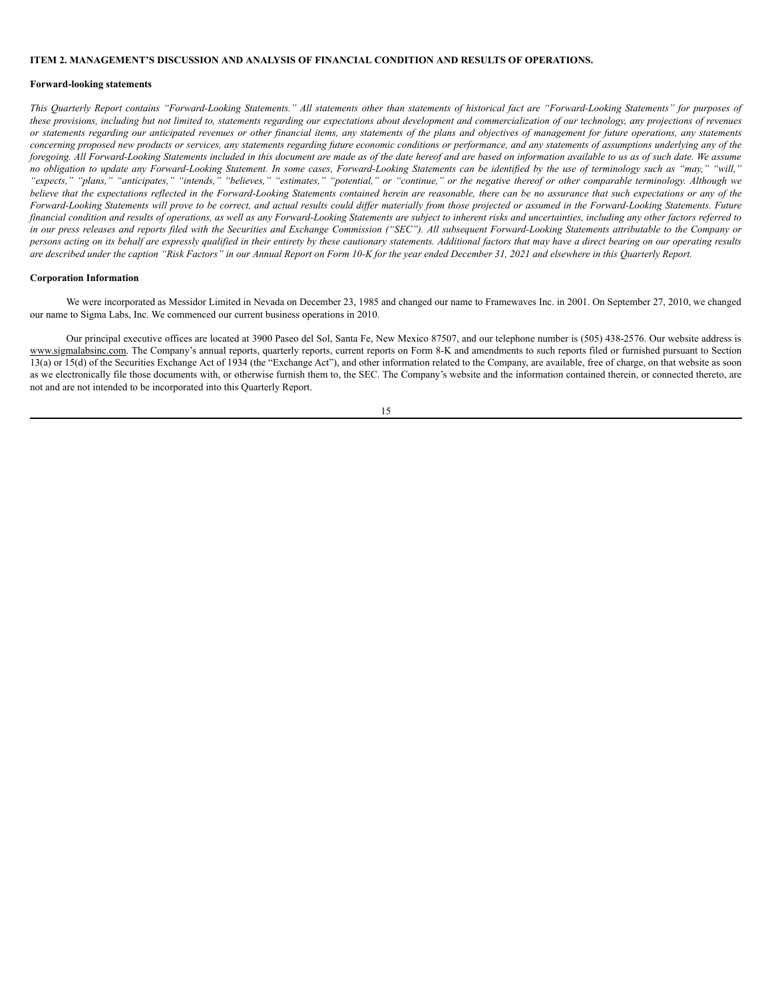#### <span id="page-14-0"></span>**ITEM 2. MANAGEMENT'S DISCUSSION AND ANALYSIS OF FINANCIAL CONDITION AND RESULTS OF OPERATIONS.**

#### **Forward-looking statements**

This Quarterly Report contains "Forward-Looking Statements." All statements other than statements of historical fact are "Forward-Looking Statements" for purposes of these provisions, including but not limited to, statements regarding our expectations about development and commercialization of our technology, any projections of revenues or statements regarding our anticipated revenues or other financial items, any statements of the plans and objectives of management for future operations, any statements concerning proposed new products or services, any statements regarding future economic conditions or performance, and any statements of assumptions underlying any of the foregoing. All Forward-Looking Statements included in this document are made as of the date hereof and are based on information available to us as of such date. We assume no obligation to update any Forward-Looking Statement. In some cases, Forward-Looking Statements can be identified by the use of terminology such as "may," "will," "expects," "plans," "anticipates," "intends," "believes," "estimates," "potential," or "continue," or the negative thereof or other comparable terminology. Although we believe that the expectations reflected in the Forward-Looking Statements contained herein are reasonable, there can be no assurance that such expectations or any of the Forward-Looking Statements will prove to be correct, and actual results could differ materially from those projected or assumed in the Forward-Looking Statements. Future financial condition and results of operations, as well as any Forward-Looking Statements are subject to inherent risks and uncertainties, including any other factors referred to in our press releases and reports filed with the Securities and Exchange Commission ("SEC"). All subsequent Forward-Looking Statements attributable to the Company or persons acting on its behalf are expressly qualified in their entirety by these cautionary statements. Additional factors that may have a direct bearing on our operating results are described under the caption "Risk Factors" in our Annual Report on Form 10-K for the year ended December 31, 2021 and elsewhere in this Ouarterly Report.

### **Corporation Information**

We were incorporated as Messidor Limited in Nevada on December 23, 1985 and changed our name to Framewaves Inc. in 2001. On September 27, 2010, we changed our name to Sigma Labs, Inc. We commenced our current business operations in 2010.

Our principal executive offices are located at 3900 Paseo del Sol, Santa Fe, New Mexico 87507, and our telephone number is (505) 438-2576. Our website address is www.sigmalabsinc.com. The Company's annual reports, quarterly reports, current reports on Form 8-K and amendments to such reports filed or furnished pursuant to Section 13(a) or 15(d) of the Securities Exchange Act of 1934 (the "Exchange Act"), and other information related to the Company, are available, free of charge, on that website as soon as we electronically file those documents with, or otherwise furnish them to, the SEC. The Company's website and the information contained therein, or connected thereto, are not and are not intended to be incorporated into this Quarterly Report.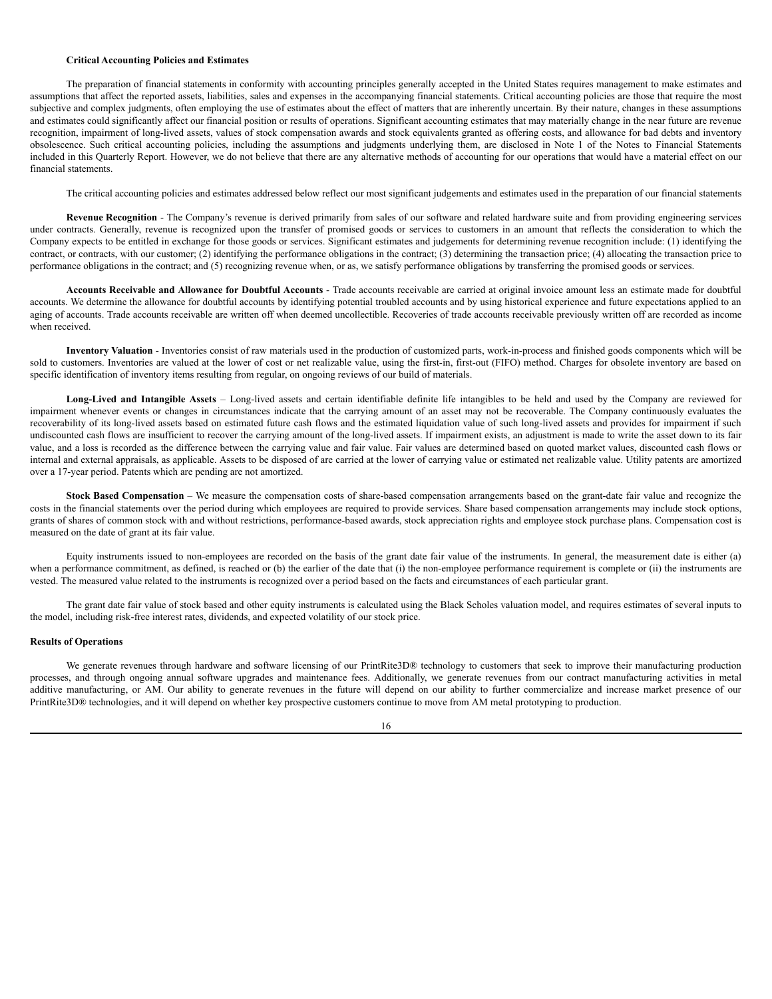### **Critical Accounting Policies and Estimates**

The preparation of financial statements in conformity with accounting principles generally accepted in the United States requires management to make estimates and assumptions that affect the reported assets, liabilities, sales and expenses in the accompanying financial statements. Critical accounting policies are those that require the most subjective and complex judgments, often employing the use of estimates about the effect of matters that are inherently uncertain. By their nature, changes in these assumptions and estimates could significantly affect our financial position or results of operations. Significant accounting estimates that may materially change in the near future are revenue recognition, impairment of long-lived assets, values of stock compensation awards and stock equivalents granted as offering costs, and allowance for bad debts and inventory obsolescence. Such critical accounting policies, including the assumptions and judgments underlying them, are disclosed in Note 1 of the Notes to Financial Statements included in this Quarterly Report. However, we do not believe that there are any alternative methods of accounting for our operations that would have a material effect on our financial statements.

The critical accounting policies and estimates addressed below reflect our most significant judgements and estimates used in the preparation of our financial statements

**Revenue Recognition** - The Company's revenue is derived primarily from sales of our software and related hardware suite and from providing engineering services under contracts. Generally, revenue is recognized upon the transfer of promised goods or services to customers in an amount that reflects the consideration to which the Company expects to be entitled in exchange for those goods or services. Significant estimates and judgements for determining revenue recognition include: (1) identifying the contract, or contracts, with our customer; (2) identifying the performance obligations in the contract; (3) determining the transaction price; (4) allocating the transaction price to performance obligations in the contract; and (5) recognizing revenue when, or as, we satisfy performance obligations by transferring the promised goods or services.

**Accounts Receivable and Allowance for Doubtful Accounts** - Trade accounts receivable are carried at original invoice amount less an estimate made for doubtful accounts. We determine the allowance for doubtful accounts by identifying potential troubled accounts and by using historical experience and future expectations applied to an aging of accounts. Trade accounts receivable are written off when deemed uncollectible. Recoveries of trade accounts receivable previously written off are recorded as income when received.

**Inventory Valuation** - Inventories consist of raw materials used in the production of customized parts, work-in-process and finished goods components which will be sold to customers. Inventories are valued at the lower of cost or net realizable value, using the first-in, first-out (FIFO) method. Charges for obsolete inventory are based on specific identification of inventory items resulting from regular, on ongoing reviews of our build of materials.

**Long-Lived and Intangible Assets** – Long-lived assets and certain identifiable definite life intangibles to be held and used by the Company are reviewed for impairment whenever events or changes in circumstances indicate that the carrying amount of an asset may not be recoverable. The Company continuously evaluates the recoverability of its long-lived assets based on estimated future cash flows and the estimated liquidation value of such long-lived assets and provides for impairment if such undiscounted cash flows are insufficient to recover the carrying amount of the long-lived assets. If impairment exists, an adjustment is made to write the asset down to its fair value, and a loss is recorded as the difference between the carrying value and fair value. Fair values are determined based on quoted market values, discounted cash flows or internal and external appraisals, as applicable. Assets to be disposed of are carried at the lower of carrying value or estimated net realizable value. Utility patents are amortized over a 17-year period. Patents which are pending are not amortized.

**Stock Based Compensation** – We measure the compensation costs of share-based compensation arrangements based on the grant-date fair value and recognize the costs in the financial statements over the period during which employees are required to provide services. Share based compensation arrangements may include stock options, grants of shares of common stock with and without restrictions, performance-based awards, stock appreciation rights and employee stock purchase plans. Compensation cost is measured on the date of grant at its fair value.

Equity instruments issued to non-employees are recorded on the basis of the grant date fair value of the instruments. In general, the measurement date is either (a) when a performance commitment, as defined, is reached or (b) the earlier of the date that (i) the non-employee performance requirement is complete or (ii) the instruments are vested. The measured value related to the instruments is recognized over a period based on the facts and circumstances of each particular grant.

The grant date fair value of stock based and other equity instruments is calculated using the Black Scholes valuation model, and requires estimates of several inputs to the model, including risk-free interest rates, dividends, and expected volatility of our stock price.

#### **Results of Operations**

We generate revenues through hardware and software licensing of our PrintRite3D® technology to customers that seek to improve their manufacturing production processes, and through ongoing annual software upgrades and maintenance fees. Additionally, we generate revenues from our contract manufacturing activities in metal additive manufacturing, or AM. Our ability to generate revenues in the future will depend on our ability to further commercialize and increase market presence of our PrintRite3D® technologies, and it will depend on whether key prospective customers continue to move from AM metal prototyping to production.

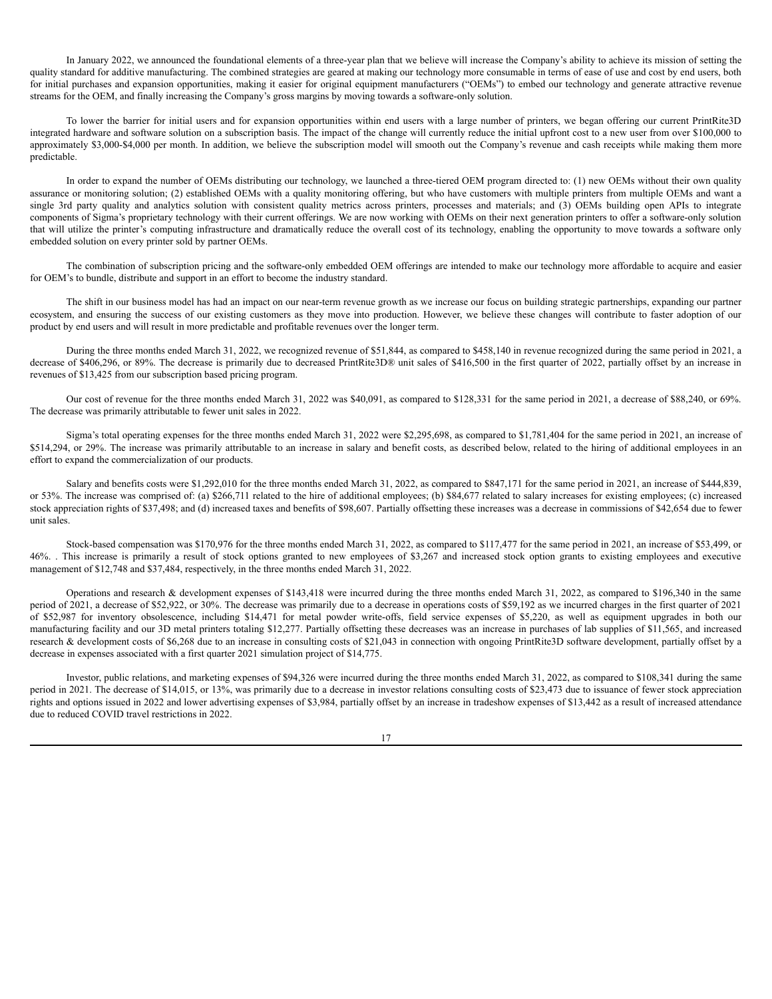In January 2022, we announced the foundational elements of a three-year plan that we believe will increase the Company's ability to achieve its mission of setting the quality standard for additive manufacturing. The combined strategies are geared at making our technology more consumable in terms of ease of use and cost by end users, both for initial purchases and expansion opportunities, making it easier for original equipment manufacturers ("OEMs") to embed our technology and generate attractive revenue streams for the OEM, and finally increasing the Company's gross margins by moving towards a software-only solution.

To lower the barrier for initial users and for expansion opportunities within end users with a large number of printers, we began offering our current PrintRite3D integrated hardware and software solution on a subscription basis. The impact of the change will currently reduce the initial upfront cost to a new user from over \$100,000 to approximately \$3,000-\$4,000 per month. In addition, we believe the subscription model will smooth out the Company's revenue and cash receipts while making them more predictable.

In order to expand the number of OEMs distributing our technology, we launched a three-tiered OEM program directed to: (1) new OEMs without their own quality assurance or monitoring solution; (2) established OEMs with a quality monitoring offering, but who have customers with multiple printers from multiple OEMs and want a single 3rd party quality and analytics solution with consistent quality metrics across printers, processes and materials; and (3) OEMs building open APIs to integrate components of Sigma's proprietary technology with their current offerings. We are now working with OEMs on their next generation printers to offer a software-only solution that will utilize the printer's computing infrastructure and dramatically reduce the overall cost of its technology, enabling the opportunity to move towards a software only embedded solution on every printer sold by partner OEMs.

The combination of subscription pricing and the software-only embedded OEM offerings are intended to make our technology more affordable to acquire and easier for OEM's to bundle, distribute and support in an effort to become the industry standard.

The shift in our business model has had an impact on our near-term revenue growth as we increase our focus on building strategic partnerships, expanding our partner ecosystem, and ensuring the success of our existing customers as they move into production. However, we believe these changes will contribute to faster adoption of our product by end users and will result in more predictable and profitable revenues over the longer term.

During the three months ended March 31, 2022, we recognized revenue of \$51,844, as compared to \$458,140 in revenue recognized during the same period in 2021, a decrease of \$406,296, or 89%. The decrease is primarily due to decreased PrintRite3D® unit sales of \$416,500 in the first quarter of 2022, partially offset by an increase in revenues of \$13,425 from our subscription based pricing program.

Our cost of revenue for the three months ended March 31, 2022 was \$40,091, as compared to \$128,331 for the same period in 2021, a decrease of \$88,240, or 69%. The decrease was primarily attributable to fewer unit sales in 2022.

Sigma's total operating expenses for the three months ended March 31, 2022 were \$2,295,698, as compared to \$1,781,404 for the same period in 2021, an increase of \$514,294, or 29%. The increase was primarily attributable to an increase in salary and benefit costs, as described below, related to the hiring of additional employees in an effort to expand the commercialization of our products.

Salary and benefits costs were \$1,292,010 for the three months ended March 31, 2022, as compared to \$847,171 for the same period in 2021, an increase of \$444,839, or 53%. The increase was comprised of: (a) \$266,711 related to the hire of additional employees; (b) \$84,677 related to salary increases for existing employees; (c) increased stock appreciation rights of \$37,498; and (d) increased taxes and benefits of \$98,607. Partially offsetting these increases was a decrease in commissions of \$42,654 due to fewer unit sales.

Stock-based compensation was \$170,976 for the three months ended March 31, 2022, as compared to \$117,477 for the same period in 2021, an increase of \$53,499, or 46%. . This increase is primarily a result of stock options granted to new employees of \$3,267 and increased stock option grants to existing employees and executive management of \$12,748 and \$37,484, respectively, in the three months ended March 31, 2022.

Operations and research & development expenses of \$143,418 were incurred during the three months ended March 31, 2022, as compared to \$196,340 in the same period of 2021, a decrease of \$52,922, or 30%. The decrease was primarily due to a decrease in operations costs of \$59,192 as we incurred charges in the first quarter of 2021 of \$52,987 for inventory obsolescence, including \$14,471 for metal powder write-offs, field service expenses of \$5,220, as well as equipment upgrades in both our manufacturing facility and our 3D metal printers totaling \$12,277. Partially offsetting these decreases was an increase in purchases of lab supplies of \$11,565, and increased research & development costs of \$6,268 due to an increase in consulting costs of \$21,043 in connection with ongoing PrintRite3D software development, partially offset by a decrease in expenses associated with a first quarter 2021 simulation project of \$14,775.

Investor, public relations, and marketing expenses of \$94,326 were incurred during the three months ended March 31, 2022, as compared to \$108,341 during the same period in 2021. The decrease of \$14,015, or 13%, was primarily due to a decrease in investor relations consulting costs of \$23,473 due to issuance of fewer stock appreciation rights and options issued in 2022 and lower advertising expenses of \$3,984, partially offset by an increase in tradeshow expenses of \$13,442 as a result of increased attendance due to reduced COVID travel restrictions in 2022.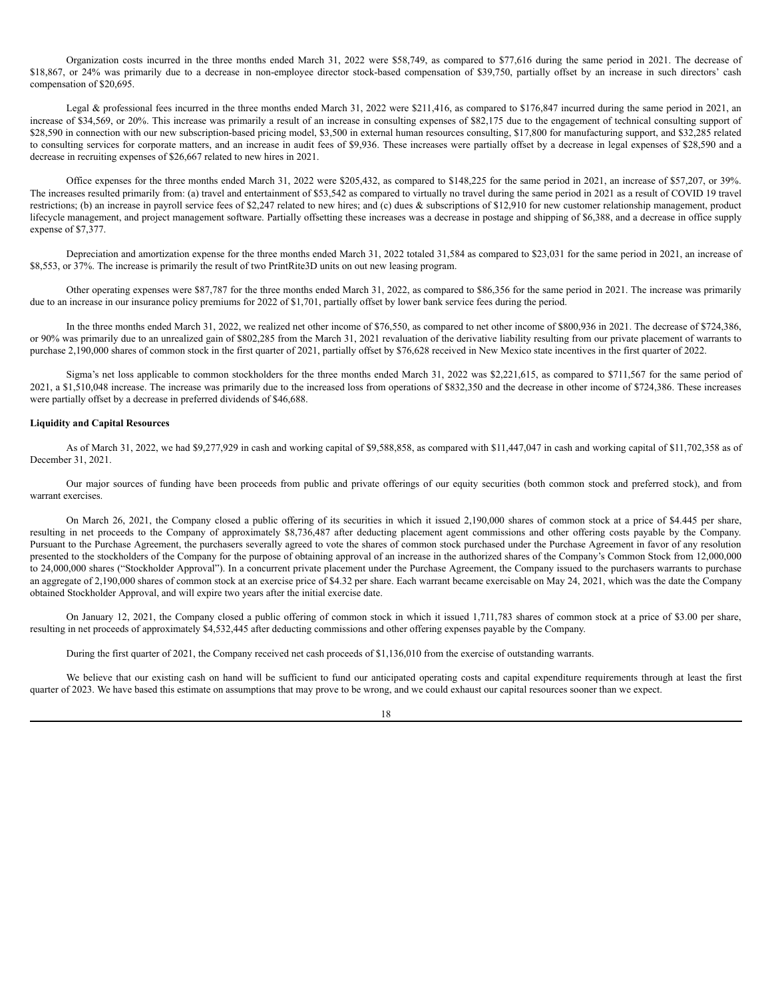Organization costs incurred in the three months ended March 31, 2022 were \$58,749, as compared to \$77,616 during the same period in 2021. The decrease of \$18,867, or 24% was primarily due to a decrease in non-employee director stock-based compensation of \$39,750, partially offset by an increase in such directors' cash compensation of \$20,695.

Legal & professional fees incurred in the three months ended March 31, 2022 were \$211,416, as compared to \$176,847 incurred during the same period in 2021, an increase of \$34,569, or 20%. This increase was primarily a result of an increase in consulting expenses of \$82,175 due to the engagement of technical consulting support of \$28,590 in connection with our new subscription-based pricing model, \$3,500 in external human resources consulting, \$17,800 for manufacturing support, and \$32,285 related to consulting services for corporate matters, and an increase in audit fees of \$9,936. These increases were partially offset by a decrease in legal expenses of \$28,590 and a decrease in recruiting expenses of \$26,667 related to new hires in 2021.

Office expenses for the three months ended March 31, 2022 were \$205,432, as compared to \$148,225 for the same period in 2021, an increase of \$57,207, or 39%. The increases resulted primarily from: (a) travel and entertainment of \$53,542 as compared to virtually no travel during the same period in 2021 as a result of COVID 19 travel restrictions; (b) an increase in payroll service fees of \$2,247 related to new hires; and (c) dues & subscriptions of \$12,910 for new customer relationship management, product lifecycle management, and project management software. Partially offsetting these increases was a decrease in postage and shipping of \$6,388, and a decrease in office supply expense of \$7,377.

Depreciation and amortization expense for the three months ended March 31, 2022 totaled 31,584 as compared to \$23,031 for the same period in 2021, an increase of \$8,553, or 37%. The increase is primarily the result of two PrintRite3D units on out new leasing program.

Other operating expenses were \$87,787 for the three months ended March 31, 2022, as compared to \$86,356 for the same period in 2021. The increase was primarily due to an increase in our insurance policy premiums for 2022 of \$1,701, partially offset by lower bank service fees during the period.

In the three months ended March 31, 2022, we realized net other income of \$76,550, as compared to net other income of \$800,936 in 2021. The decrease of \$724,386, or 90% was primarily due to an unrealized gain of \$802,285 from the March 31, 2021 revaluation of the derivative liability resulting from our private placement of warrants to purchase 2,190,000 shares of common stock in the first quarter of 2021, partially offset by \$76,628 received in New Mexico state incentives in the first quarter of 2022.

Sigma's net loss applicable to common stockholders for the three months ended March 31, 2022 was \$2,221,615, as compared to \$711,567 for the same period of 2021, a \$1,510,048 increase. The increase was primarily due to the increased loss from operations of \$832,350 and the decrease in other income of \$724,386. These increases were partially offset by a decrease in preferred dividends of \$46,688.

### **Liquidity and Capital Resources**

As of March 31, 2022, we had \$9,277,929 in cash and working capital of \$9,588,858, as compared with \$11,447,047 in cash and working capital of \$11,702,358 as of December 31, 2021.

Our major sources of funding have been proceeds from public and private offerings of our equity securities (both common stock and preferred stock), and from warrant exercises.

On March 26, 2021, the Company closed a public offering of its securities in which it issued 2,190,000 shares of common stock at a price of \$4.445 per share, resulting in net proceeds to the Company of approximately \$8,736,487 after deducting placement agent commissions and other offering costs payable by the Company. Pursuant to the Purchase Agreement, the purchasers severally agreed to vote the shares of common stock purchased under the Purchase Agreement in favor of any resolution presented to the stockholders of the Company for the purpose of obtaining approval of an increase in the authorized shares of the Company's Common Stock from 12,000,000 to 24,000,000 shares ("Stockholder Approval"). In a concurrent private placement under the Purchase Agreement, the Company issued to the purchasers warrants to purchase an aggregate of 2,190,000 shares of common stock at an exercise price of \$4.32 per share. Each warrant became exercisable on May 24, 2021, which was the date the Company obtained Stockholder Approval, and will expire two years after the initial exercise date.

On January 12, 2021, the Company closed a public offering of common stock in which it issued 1,711,783 shares of common stock at a price of \$3.00 per share, resulting in net proceeds of approximately \$4,532,445 after deducting commissions and other offering expenses payable by the Company.

During the first quarter of 2021, the Company received net cash proceeds of \$1,136,010 from the exercise of outstanding warrants.

We believe that our existing cash on hand will be sufficient to fund our anticipated operating costs and capital expenditure requirements through at least the first quarter of 2023. We have based this estimate on assumptions that may prove to be wrong, and we could exhaust our capital resources sooner than we expect.

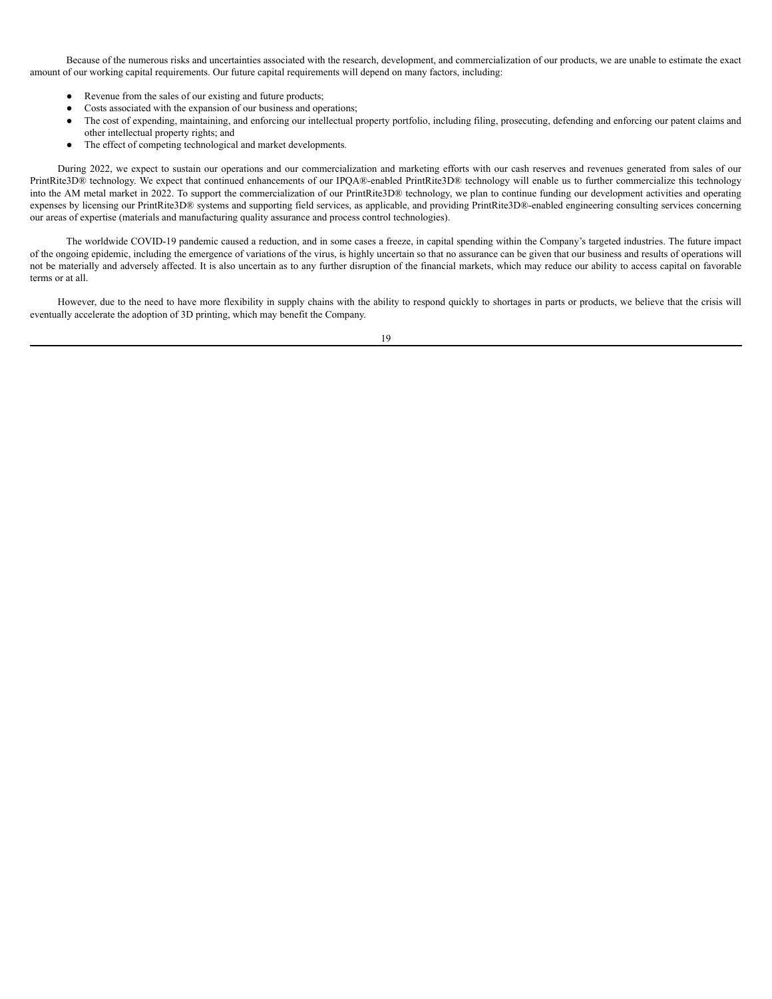Because of the numerous risks and uncertainties associated with the research, development, and commercialization of our products, we are unable to estimate the exact amount of our working capital requirements. Our future capital requirements will depend on many factors, including:

- Revenue from the sales of our existing and future products;
- Costs associated with the expansion of our business and operations;
- The cost of expending, maintaining, and enforcing our intellectual property portfolio, including filing, prosecuting, defending and enforcing our patent claims and other intellectual property rights; and
- The effect of competing technological and market developments.

During 2022, we expect to sustain our operations and our commercialization and marketing efforts with our cash reserves and revenues generated from sales of our PrintRite3D® technology. We expect that continued enhancements of our IPQA®-enabled PrintRite3D® technology will enable us to further commercialize this technology into the AM metal market in 2022. To support the commercialization of our PrintRite3D® technology, we plan to continue funding our development activities and operating expenses by licensing our PrintRite3D® systems and supporting field services, as applicable, and providing PrintRite3D®-enabled engineering consulting services concerning our areas of expertise (materials and manufacturing quality assurance and process control technologies).

The worldwide COVID-19 pandemic caused a reduction, and in some cases a freeze, in capital spending within the Company's targeted industries. The future impact of the ongoing epidemic, including the emergence of variations of the virus, is highly uncertain so that no assurance can be given that our business and results of operations will not be materially and adversely affected. It is also uncertain as to any further disruption of the financial markets, which may reduce our ability to access capital on favorable terms or at all.

However, due to the need to have more flexibility in supply chains with the ability to respond quickly to shortages in parts or products, we believe that the crisis will eventually accelerate the adoption of 3D printing, which may benefit the Company.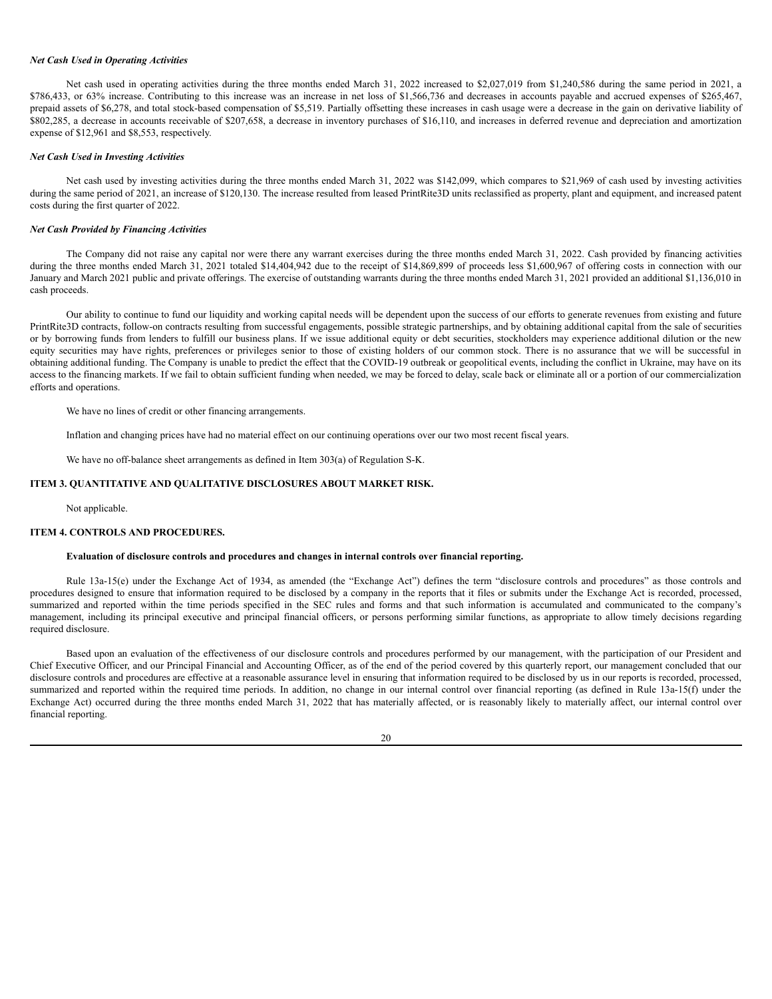### *Net Cash Used in Operating Activities*

Net cash used in operating activities during the three months ended March 31, 2022 increased to \$2,027,019 from \$1,240,586 during the same period in 2021, a \$786,433, or 63% increase. Contributing to this increase was an increase in net loss of \$1,566,736 and decreases in accounts payable and accrued expenses of \$265,467, prepaid assets of \$6,278, and total stock-based compensation of \$5,519. Partially offsetting these increases in cash usage were a decrease in the gain on derivative liability of \$802,285, a decrease in accounts receivable of \$207,658, a decrease in inventory purchases of \$16,110, and increases in deferred revenue and depreciation and amortization expense of \$12,961 and \$8,553, respectively.

#### *Net Cash Used in Investing Activities*

Net cash used by investing activities during the three months ended March 31, 2022 was \$142,099, which compares to \$21,969 of cash used by investing activities during the same period of 2021, an increase of \$120,130. The increase resulted from leased PrintRite3D units reclassified as property, plant and equipment, and increased patent costs during the first quarter of 2022.

#### *Net Cash Provided by Financing Activities*

The Company did not raise any capital nor were there any warrant exercises during the three months ended March 31, 2022. Cash provided by financing activities during the three months ended March 31, 2021 totaled \$14,404,942 due to the receipt of \$14,869,899 of proceeds less \$1,600,967 of offering costs in connection with our January and March 2021 public and private offerings. The exercise of outstanding warrants during the three months ended March 31, 2021 provided an additional \$1,136,010 in cash proceeds.

Our ability to continue to fund our liquidity and working capital needs will be dependent upon the success of our efforts to generate revenues from existing and future PrintRite3D contracts, follow-on contracts resulting from successful engagements, possible strategic partnerships, and by obtaining additional capital from the sale of securities or by borrowing funds from lenders to fulfill our business plans. If we issue additional equity or debt securities, stockholders may experience additional dilution or the new equity securities may have rights, preferences or privileges senior to those of existing holders of our common stock. There is no assurance that we will be successful in obtaining additional funding. The Company is unable to predict the effect that the COVID-19 outbreak or geopolitical events, including the conflict in Ukraine, may have on its access to the financing markets. If we fail to obtain sufficient funding when needed, we may be forced to delay, scale back or eliminate all or a portion of our commercialization efforts and operations.

We have no lines of credit or other financing arrangements.

Inflation and changing prices have had no material effect on our continuing operations over our two most recent fiscal years.

We have no off-balance sheet arrangements as defined in Item 303(a) of Regulation S-K.

#### <span id="page-19-0"></span>**ITEM 3. QUANTITATIVE AND QUALITATIVE DISCLOSURES ABOUT MARKET RISK.**

Not applicable.

#### <span id="page-19-1"></span>**ITEM 4. CONTROLS AND PROCEDURES.**

#### **Evaluation of disclosure controls and procedures and changes in internal controls over financial reporting.**

Rule 13a-15(e) under the Exchange Act of 1934, as amended (the "Exchange Act") defines the term "disclosure controls and procedures" as those controls and procedures designed to ensure that information required to be disclosed by a company in the reports that it files or submits under the Exchange Act is recorded, processed, summarized and reported within the time periods specified in the SEC rules and forms and that such information is accumulated and communicated to the company's management, including its principal executive and principal financial officers, or persons performing similar functions, as appropriate to allow timely decisions regarding required disclosure.

Based upon an evaluation of the effectiveness of our disclosure controls and procedures performed by our management, with the participation of our President and Chief Executive Officer, and our Principal Financial and Accounting Officer, as of the end of the period covered by this quarterly report, our management concluded that our disclosure controls and procedures are effective at a reasonable assurance level in ensuring that information required to be disclosed by us in our reports is recorded, processed, summarized and reported within the required time periods. In addition, no change in our internal control over financial reporting (as defined in Rule 13a-15(f) under the Exchange Act) occurred during the three months ended March 31, 2022 that has materially affected, or is reasonably likely to materially affect, our internal control over financial reporting.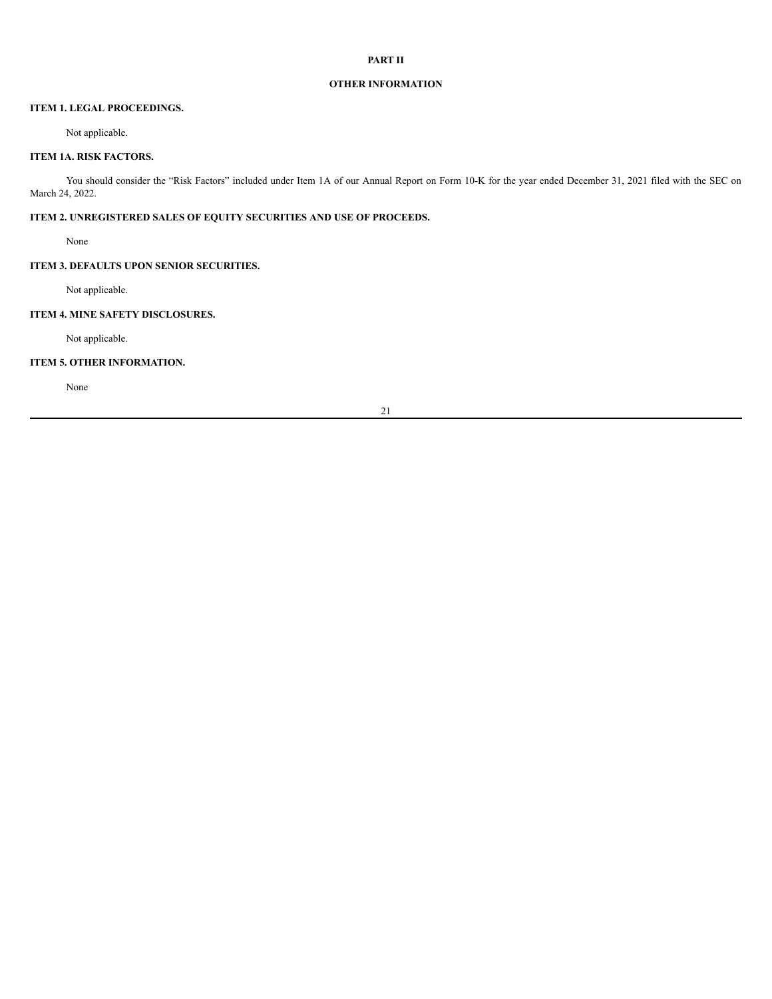### **PART II**

# **OTHER INFORMATION**

# <span id="page-20-1"></span><span id="page-20-0"></span>**ITEM 1. LEGAL PROCEEDINGS.**

Not applicable.

# <span id="page-20-2"></span>**ITEM 1A. RISK FACTORS.**

You should consider the "Risk Factors" included under Item 1A of our Annual Report on Form 10-K for the year ended December 31, 2021 filed with the SEC on March 24, 2022.

# <span id="page-20-3"></span>**ITEM 2. UNREGISTERED SALES OF EQUITY SECURITIES AND USE OF PROCEEDS.**

None

# <span id="page-20-4"></span>**ITEM 3. DEFAULTS UPON SENIOR SECURITIES.**

Not applicable.

# <span id="page-20-5"></span>**ITEM 4. MINE SAFETY DISCLOSURES.**

Not applicable.

# <span id="page-20-6"></span>**ITEM 5. OTHER INFORMATION.**

None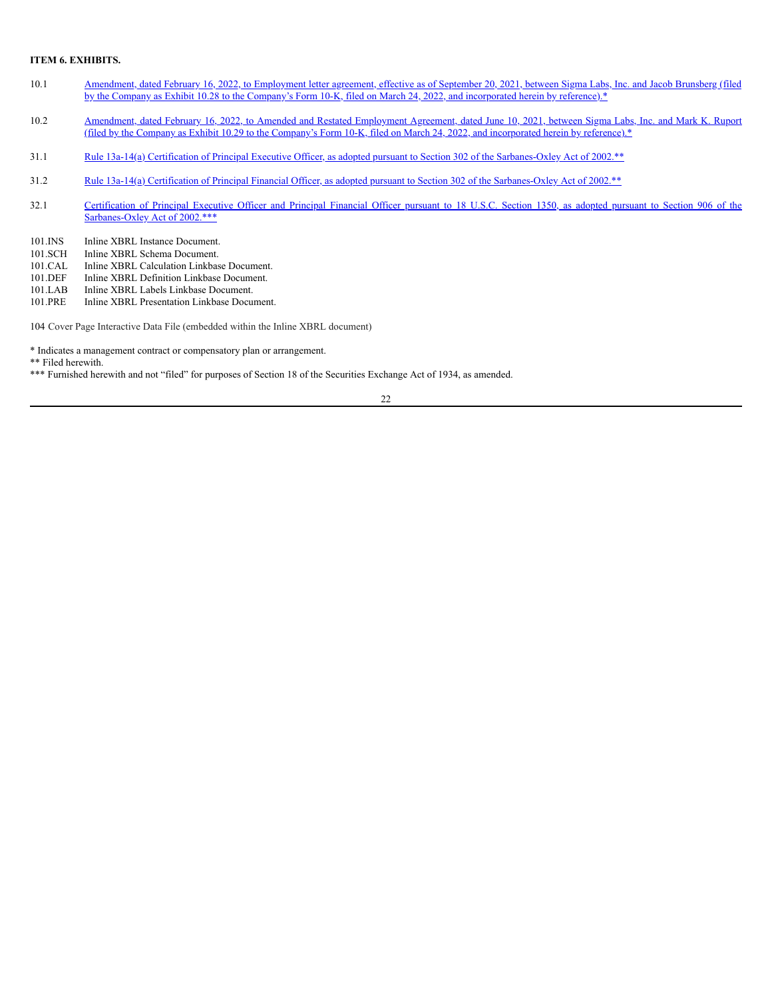### <span id="page-21-0"></span>**ITEM 6. EXHIBITS.**

- 10.1 [Amendment,](https://www.sec.gov/Archives/edgar/data/788611/000149315222007671/ex10-28.htm) dated February 16, 2022, to Employment letter agreement, effective as of September 20, 2021, between Sigma Labs, Inc. and Jacob Brunsberg (filed by the Company as Exhibit 10.28 to the Company's Form 10-K, filed on March 24, 2022, and incorporated herein by reference).\*
- 10.2 [Amendment,](https://www.sec.gov/Archives/edgar/data/788611/000149315222007671/ex10-29.htm) dated February 16, 2022, to Amended and Restated Employment Agreement, dated June 10, 2021, between Sigma Labs, Inc. and Mark K. Ruport (filed by the Company as Exhibit 10.29 to the Company's Form 10-K, filed on March 24, 2022, and incorporated herein by reference).\*
- 31.1 Rule 13a-14(a) Certification of Principal Executive Officer, as adopted pursuant to Section 302 of the [Sarbanes-Oxley](https://s3.amazonaws.com/content.stockpr.com/sec/0001493152-22-011213/ex31-1.htm) Act of 2002.\*\*
- 31.2 Rule 13a-14(a) Certification of Principal Financial Officer, as adopted pursuant to Section 302 of the [Sarbanes-Oxley](https://s3.amazonaws.com/content.stockpr.com/sec/0001493152-22-011213/ex31-2.htm) Act of 2002.\*\*
- 32.1 Certification of Principal Executive Officer and Principal Financial Officer pursuant to 18 U.S.C. Section 1350, as adopted pursuant to Section 906 of the [Sarbanes-Oxley](https://s3.amazonaws.com/content.stockpr.com/sec/0001493152-22-011213/ex32-1.htm) Act of 2002.\*\*\*
- 101.INS Inline XBRL Instance Document.<br>101.SCH Inline XBRL Schema Document.
- Inline XBRL Schema Document.
- 101.CAL Inline XBRL Calculation Linkbase Document.<br>101.DEF Inline XBRL Definition Linkbase Document.
- 101.DEF Inline XBRL Definition Linkbase Document.<br>101.LAB Inline XBRL Labels Linkbase Document.
- Inline XBRL Labels Linkbase Document.
- 101.PRE Inline XBRL Presentation Linkbase Document.

104 Cover Page Interactive Data File (embedded within the Inline XBRL document)

\* Indicates a management contract or compensatory plan or arrangement.

\*\* Filed herewith.

\*\*\* Furnished herewith and not "filed" for purposes of Section 18 of the Securities Exchange Act of 1934, as amended.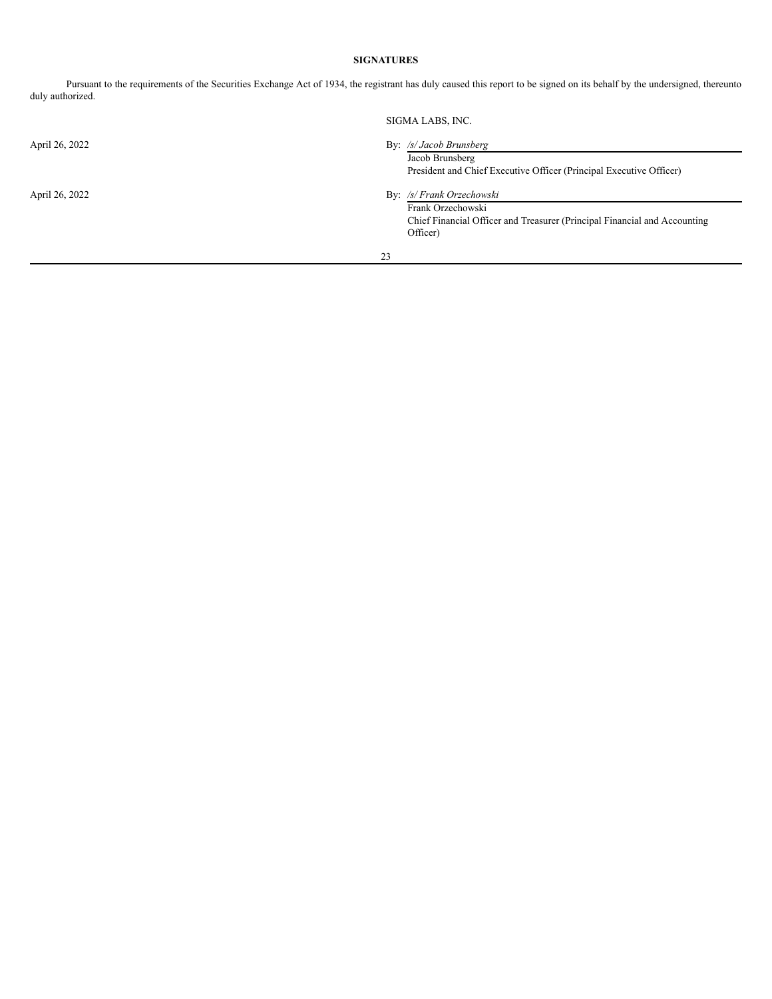# **SIGNATURES**

<span id="page-22-0"></span>Pursuant to the requirements of the Securities Exchange Act of 1934, the registrant has duly caused this report to be signed on its behalf by the undersigned, thereunto duly authorized.

|                | SIGMA LABS, INC.                                                                                                                        |
|----------------|-----------------------------------------------------------------------------------------------------------------------------------------|
| April 26, 2022 | By: /s/Jacob Brunsberg<br>Jacob Brunsberg<br>President and Chief Executive Officer (Principal Executive Officer)                        |
| April 26, 2022 | By: /s/ Frank Orzechowski<br>Frank Orzechowski<br>Chief Financial Officer and Treasurer (Principal Financial and Accounting<br>Officer) |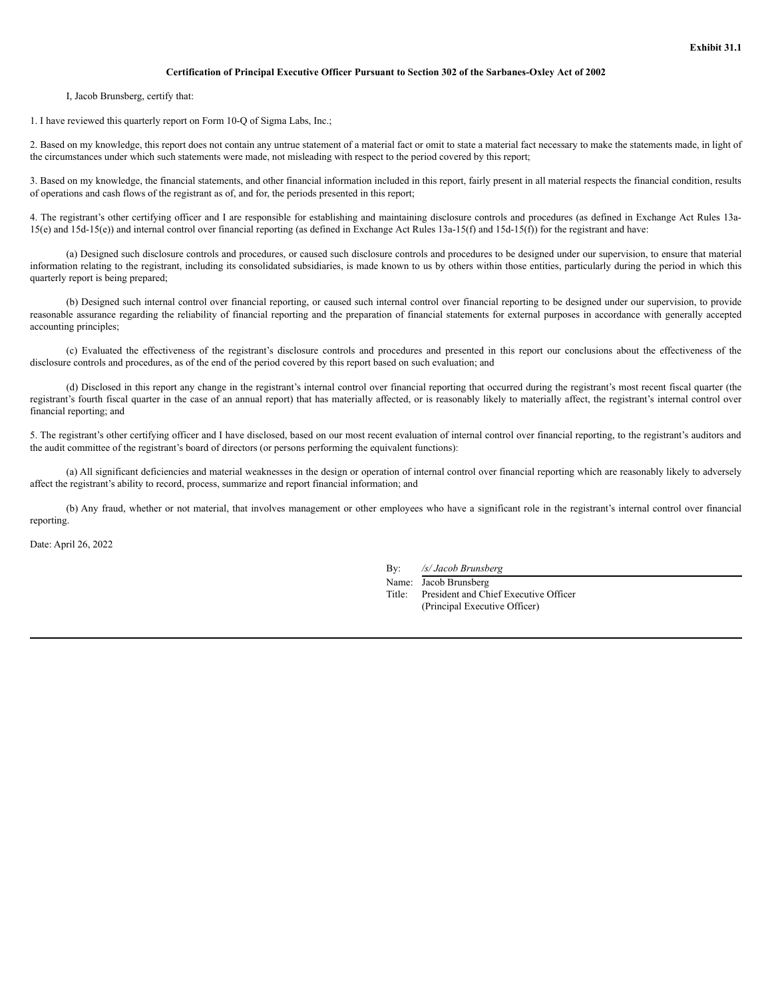#### **Certification of Principal Executive Officer Pursuant to Section 302 of the Sarbanes-Oxley Act of 2002**

I, Jacob Brunsberg, certify that:

1. I have reviewed this quarterly report on Form 10-Q of Sigma Labs, Inc.;

2. Based on my knowledge, this report does not contain any untrue statement of a material fact or omit to state a material fact necessary to make the statements made, in light of the circumstances under which such statements were made, not misleading with respect to the period covered by this report;

3. Based on my knowledge, the financial statements, and other financial information included in this report, fairly present in all material respects the financial condition, results of operations and cash flows of the registrant as of, and for, the periods presented in this report;

4. The registrant's other certifying officer and I are responsible for establishing and maintaining disclosure controls and procedures (as defined in Exchange Act Rules 13a-15(e) and 15d-15(e)) and internal control over financial reporting (as defined in Exchange Act Rules 13a-15(f) and 15d-15(f)) for the registrant and have:

(a) Designed such disclosure controls and procedures, or caused such disclosure controls and procedures to be designed under our supervision, to ensure that material information relating to the registrant, including its consolidated subsidiaries, is made known to us by others within those entities, particularly during the period in which this quarterly report is being prepared;

(b) Designed such internal control over financial reporting, or caused such internal control over financial reporting to be designed under our supervision, to provide reasonable assurance regarding the reliability of financial reporting and the preparation of financial statements for external purposes in accordance with generally accepted accounting principles;

(c) Evaluated the effectiveness of the registrant's disclosure controls and procedures and presented in this report our conclusions about the effectiveness of the disclosure controls and procedures, as of the end of the period covered by this report based on such evaluation; and

(d) Disclosed in this report any change in the registrant's internal control over financial reporting that occurred during the registrant's most recent fiscal quarter (the registrant's fourth fiscal quarter in the case of an annual report) that has materially affected, or is reasonably likely to materially affect, the registrant's internal control over financial reporting; and

5. The registrant's other certifying officer and I have disclosed, based on our most recent evaluation of internal control over financial reporting, to the registrant's auditors and the audit committee of the registrant's board of directors (or persons performing the equivalent functions):

(a) All significant deficiencies and material weaknesses in the design or operation of internal control over financial reporting which are reasonably likely to adversely affect the registrant's ability to record, process, summarize and report financial information; and

(b) Any fraud, whether or not material, that involves management or other employees who have a significant role in the registrant's internal control over financial reporting.

Date: April 26, 2022

By: */s/ Jacob Brunsberg*

Name: Jacob Brunsberg Title: President and Chief Executive Officer (Principal Executive Officer)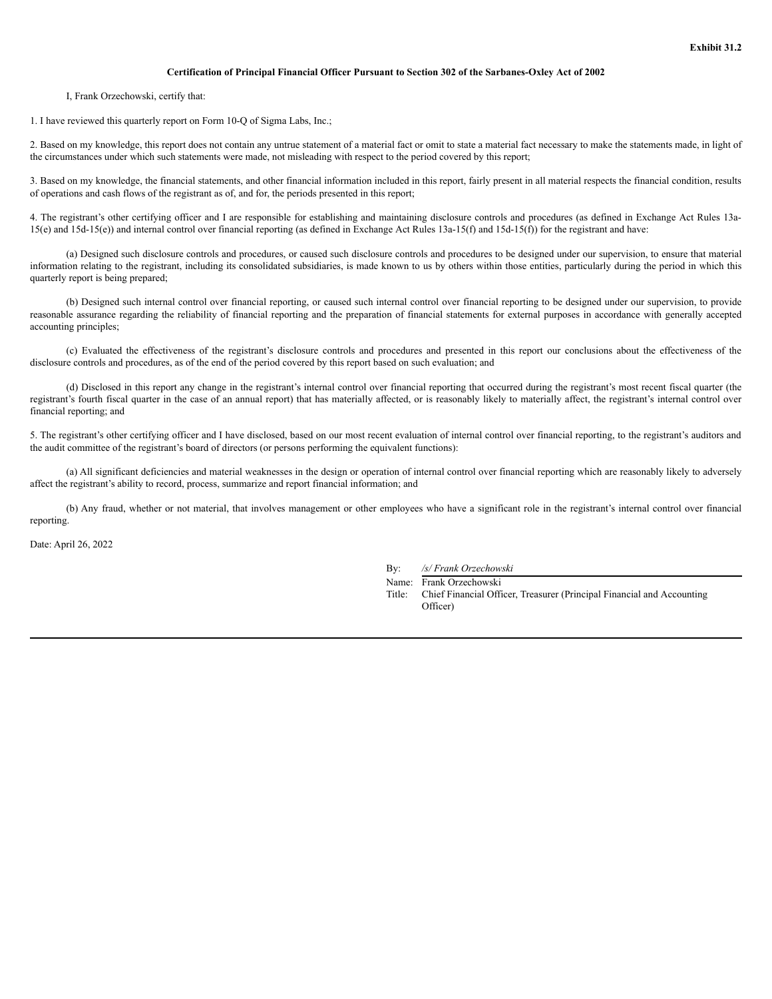#### **Certification of Principal Financial Officer Pursuant to Section 302 of the Sarbanes-Oxley Act of 2002**

I, Frank Orzechowski, certify that:

1. I have reviewed this quarterly report on Form 10-Q of Sigma Labs, Inc.;

2. Based on my knowledge, this report does not contain any untrue statement of a material fact or omit to state a material fact necessary to make the statements made, in light of the circumstances under which such statements were made, not misleading with respect to the period covered by this report;

3. Based on my knowledge, the financial statements, and other financial information included in this report, fairly present in all material respects the financial condition, results of operations and cash flows of the registrant as of, and for, the periods presented in this report;

4. The registrant's other certifying officer and I are responsible for establishing and maintaining disclosure controls and procedures (as defined in Exchange Act Rules 13a-15(e) and 15d-15(e)) and internal control over financial reporting (as defined in Exchange Act Rules 13a-15(f) and 15d-15(f)) for the registrant and have:

(a) Designed such disclosure controls and procedures, or caused such disclosure controls and procedures to be designed under our supervision, to ensure that material information relating to the registrant, including its consolidated subsidiaries, is made known to us by others within those entities, particularly during the period in which this quarterly report is being prepared;

(b) Designed such internal control over financial reporting, or caused such internal control over financial reporting to be designed under our supervision, to provide reasonable assurance regarding the reliability of financial reporting and the preparation of financial statements for external purposes in accordance with generally accepted accounting principles;

(c) Evaluated the effectiveness of the registrant's disclosure controls and procedures and presented in this report our conclusions about the effectiveness of the disclosure controls and procedures, as of the end of the period covered by this report based on such evaluation; and

(d) Disclosed in this report any change in the registrant's internal control over financial reporting that occurred during the registrant's most recent fiscal quarter (the registrant's fourth fiscal quarter in the case of an annual report) that has materially affected, or is reasonably likely to materially affect, the registrant's internal control over financial reporting; and

5. The registrant's other certifying officer and I have disclosed, based on our most recent evaluation of internal control over financial reporting, to the registrant's auditors and the audit committee of the registrant's board of directors (or persons performing the equivalent functions):

(a) All significant deficiencies and material weaknesses in the design or operation of internal control over financial reporting which are reasonably likely to adversely affect the registrant's ability to record, process, summarize and report financial information; and

(b) Any fraud, whether or not material, that involves management or other employees who have a significant role in the registrant's internal control over financial reporting.

Date: April 26, 2022

By: */s/ Frank Orzechowski*

Name: Frank Orzechowski

Title: Chief Financial Officer, Treasurer (Principal Financial and Accounting Officer)